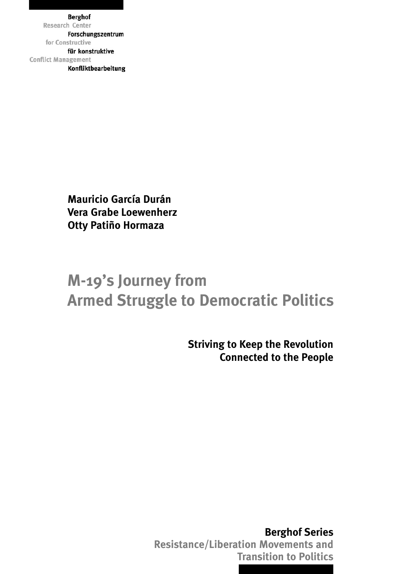**Berghof** Forschungszentrum für konstruktive **Conflict Management** Konfliktbearbeitung

> **Mauricio García Durán** Vera Grabe Loewenherz Otty Patiño Hormaza

## **M-19 S JOURNEY Armed Struggle to Democratic Politics** The M-19's Journey from Armed Struggle to Democratic Politics

**Berghof Series Resistance/Liberation Movements and** Resistance/Liberation Movements and **Transition to Politics** Transition to Politics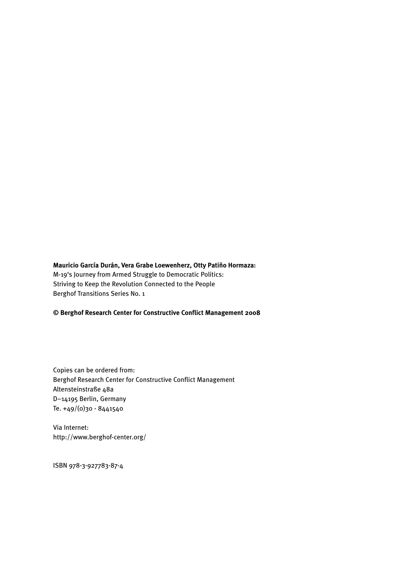#### **Mauricio García Durán, Vera Grabe Loewenherz, Otty Patiño Hormaza:**

M-19's Journey from Armed Struggle to Democratic Politics: Striving to Keep the Revolution Connected to the People Berghof Transitions Series No. 1

#### **© Berghof Research Center for Constructive Conflict Management 2008**

Copies can be ordered from: Berghof Research Center for Constructive Conflict Management Altensteinstraße 48a D–14195 Berlin, Germany Te. +49/(0)30 - 8441540

Via Internet: http://www.berghof-center.org/

ISBN 978-3-927783-87-4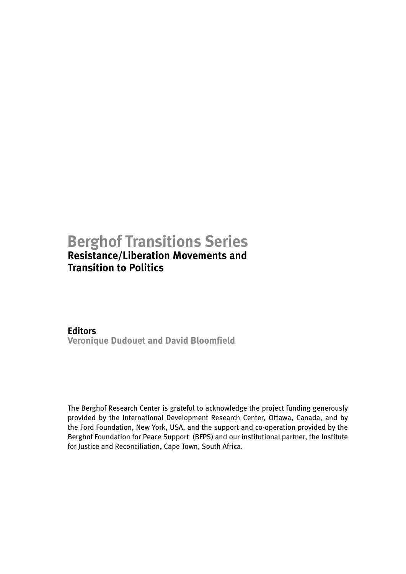## **Berghof Transitions Series Resistance/Liberation Movements and**

# **Transition to Politics**

## **Editors**

**Veronique Dudouet and David Bloomfield**

The Berghof Research Center is grateful to acknowledge the project funding generously provided by the International Development Research Center, Ottawa, Canada, and by the Ford Foundation, New York, USA, and the support and co-operation provided by the Berghof Foundation for Peace Support (BFPS) and our institutional partner, the Institute for Justice and Reconciliation, Cape Town, South Africa.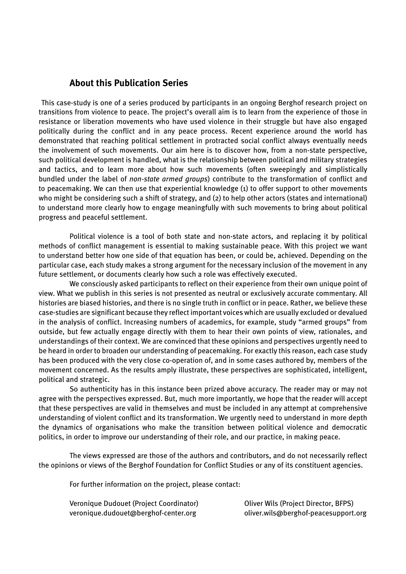#### <span id="page-3-0"></span> **About this Publication Series**

This case-study is one of a series produced by participants in an ongoing Berghof research project on transitions from violence to peace. The project's overall aim is to learn from the experience of those in resistance or liberation movements who have used violence in their struggle but have also engaged politically during the conflict and in any peace process. Recent experience around the world has demonstrated that reaching political settlement in protracted social conflict always eventually needs the involvement of such movements. Our aim here is to discover how, from a non-state perspective, such political development is handled, what is the relationship between political and military strategies and tactics, and to learn more about how such movements (often sweepingly and simplistically bundled under the label of *non-state armed groups*) contribute to the transformation of conflict and to peacemaking. We can then use that experiential knowledge (1) to offer support to other movements who might be considering such a shift of strategy, and (2) to help other actors (states and international) to understand more clearly how to engage meaningfully with such movements to bring about political progress and peaceful settlement.

Political violence is a tool of both state and non-state actors, and replacing it by political methods of conflict management is essential to making sustainable peace. With this project we want to understand better how one side of that equation has been, or could be, achieved. Depending on the particular case, each study makes a strong argument for the necessary inclusion of the movement in any future settlement, or documents clearly how such a role was effectively executed.

We consciously asked participants to reflect on their experience from their own unique point of view. What we publish in this series is not presented as neutral or exclusively accurate commentary. All histories are biased histories, and there is no single truth in conflict or in peace. Rather, we believe these case-studies are significant because they reflect important voices which are usually excluded or devalued in the analysis of conflict. Increasing numbers of academics, for example, study "armed groups" from outside, but few actually engage directly with them to hear their own points of view, rationales, and understandings of their context. We are convinced that these opinions and perspectives urgently need to be heard in order to broaden our understanding of peacemaking. For exactly this reason, each case study has been produced with the very close co-operation of, and in some cases authored by, members of the movement concerned. As the results amply illustrate, these perspectives are sophisticated, intelligent, political and strategic.

So authenticity has in this instance been prized above accuracy. The reader may or may not agree with the perspectives expressed. But, much more importantly, we hope that the reader will accept that these perspectives are valid in themselves and must be included in any attempt at comprehensive understanding of violent conflict and its transformation. We urgently need to understand in more depth the dynamics of organisations who make the transition between political violence and democratic politics, in order to improve our understanding of their role, and our practice, in making peace.

The views expressed are those of the authors and contributors, and do not necessarily reflect the opinions or views of the Berghof Foundation for Conflict Studies or any of its constituent agencies.

For further information on the project, please contact:

| Veronique Dudouet (Project Coordinator) | Oliver Wils (Project Director, BFPS) |
|-----------------------------------------|--------------------------------------|
| veronique.dudouet@berghof-center.org    | oliver.wils@berghof-peacesupport.org |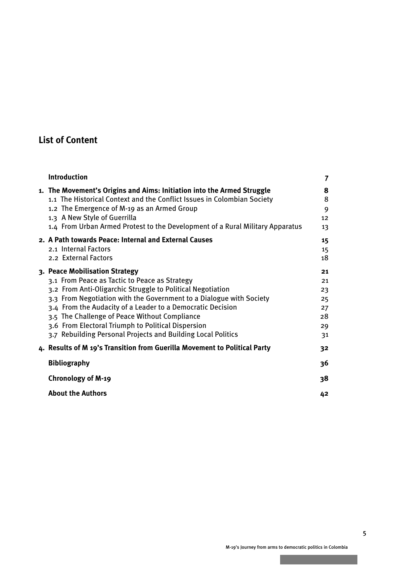## **List of Content**

| <b>Introduction</b>                                                                                                                                                                                                                                                                                                                                                                                                                                       | 7                                            |
|-----------------------------------------------------------------------------------------------------------------------------------------------------------------------------------------------------------------------------------------------------------------------------------------------------------------------------------------------------------------------------------------------------------------------------------------------------------|----------------------------------------------|
| 1. The Movement's Origins and Aims: Initiation into the Armed Struggle<br>1.1 The Historical Context and the Conflict Issues in Colombian Society<br>1.2 The Emergence of M-19 as an Armed Group<br>1.3 A New Style of Guerrilla<br>1.4 From Urban Armed Protest to the Development of a Rural Military Apparatus                                                                                                                                         | 8<br>8<br>9<br>12<br>13                      |
| 2. A Path towards Peace: Internal and External Causes<br>2.1 Internal Factors<br>2.2 External Factors                                                                                                                                                                                                                                                                                                                                                     | 15<br>15<br>18                               |
| 3. Peace Mobilisation Strategy<br>3.1 From Peace as Tactic to Peace as Strategy<br>3.2 From Anti-Oligarchic Struggle to Political Negotiation<br>3.3 From Negotiation with the Government to a Dialogue with Society<br>3.4 From the Audacity of a Leader to a Democratic Decision<br>3.5 The Challenge of Peace Without Compliance<br>3.6 From Electoral Triumph to Political Dispersion<br>3.7 Rebuilding Personal Projects and Building Local Politics | 21<br>21<br>23<br>25<br>27<br>28<br>29<br>31 |
| 4. Results of M 19's Transition from Guerilla Movement to Political Party                                                                                                                                                                                                                                                                                                                                                                                 | 32                                           |
| <b>Bibliography</b>                                                                                                                                                                                                                                                                                                                                                                                                                                       | 36                                           |
| <b>Chronology of M-19</b>                                                                                                                                                                                                                                                                                                                                                                                                                                 | 38                                           |
| <b>About the Authors</b>                                                                                                                                                                                                                                                                                                                                                                                                                                  | 42                                           |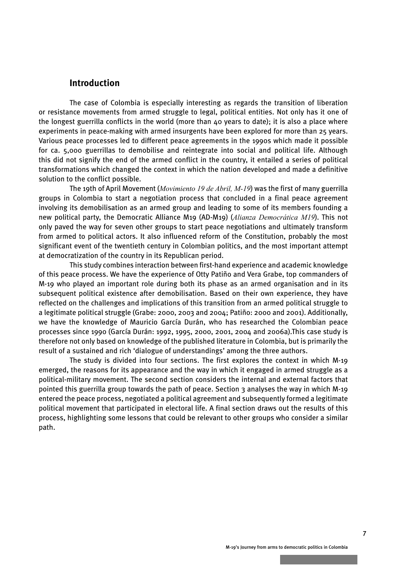#### <span id="page-5-0"></span> **Introduction**

The case of Colombia is especially interesting as regards the transition of liberation or resistance movements from armed struggle to legal, political entities. Not only has it one of the longest guerrilla conflicts in the world (more than 40 years to date); it is also a place where experiments in peace-making with armed insurgents have been explored for more than 25 years. Various peace processes led to different peace agreements in the 1990s which made it possible for ca. 5,000 guerrillas to demobilise and reintegrate into social and political life. Although this did not signify the end of the armed conflict in the country, it entailed a series of political transformations which changed the context in which the nation developed and made a definitive solution to the conflict possible.

The 19th of April Movement (*Movimiento 19 de Abril, M-19*) was the first of many guerrilla groups in Colombia to start a negotiation process that concluded in a final peace agreement involving its demobilisation as an armed group and leading to some of its members founding a new political party, the Democratic Alliance M19 (AD-M19) (*Alianza Democrática M19*). This not only paved the way for seven other groups to start peace negotiations and ultimately transform from armed to political actors. It also influenced reform of the Constitution, probably the most significant event of the twentieth century in Colombian politics, and the most important attempt at democratization of the country in its Republican period.

This study combines interaction between first-hand experience and academic knowledge of this peace process. We have the experience of Otty Patiño and Vera Grabe, top commanders of M-19 who played an important role during both its phase as an armed organisation and in its subsequent political existence after demobilisation. Based on their own experience, they have reflected on the challenges and implications of this transition from an armed political struggle to a legitimate political struggle (Grabe: 2000, 2003 and 2004; Patiño: 2000 and 2001). Additionally, we have the knowledge of Mauricio García Durán, who has researched the Colombian peace processes since 1990 (García Durán: 1992, 1995, 2000, 2001, 2004 and 2006a).This case study is therefore not only based on knowledge of the published literature in Colombia, but is primarily the result of a sustained and rich 'dialogue of understandings' among the three authors.

The study is divided into four sections. The first explores the context in which M-19 emerged, the reasons for its appearance and the way in which it engaged in armed struggle as a political-military movement. The second section considers the internal and external factors that pointed this guerrilla group towards the path of peace. Section 3 analyses the way in which M-19 entered the peace process, negotiated a political agreement and subsequently formed a legitimate political movement that participated in electoral life. A final section draws out the results of this process, highlighting some lessons that could be relevant to other groups who consider a similar path.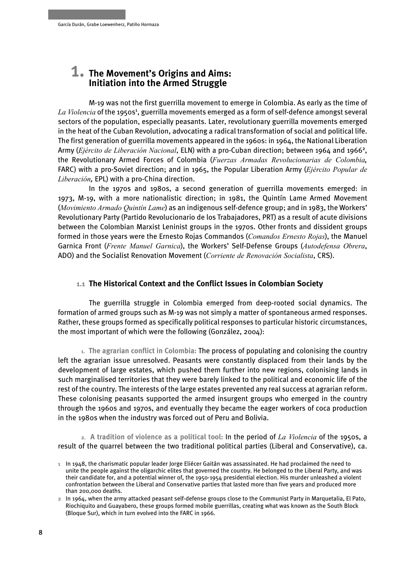## <span id="page-6-0"></span> 1. **The Movement's Origins and Aims: Initiation into the Armed Struggle**

M-19 was not the first guerrilla movement to emerge in Colombia. As early as the time of La Violencia of the 1950s<sup>1</sup>, guerrilla movements emerged as a form of self-defence amongst several sectors of the population, especially peasants. Later, revolutionary guerrilla movements emerged in the heat of the Cuban Revolution, advocating a radical transformation of social and political life. The first generation of guerrilla movements appeared in the 1960s: in 1964, the National Liberation Army (Ejército de Liberación Nacional, ELN) with a pro-Cuban direction; between 1964 and 1966<sup>2</sup>, the Revolutionary Armed Forces of Colombia (*Fuerzas Armadas Revolucionarias de Colombia,* FARC) with a pro-Soviet direction; and in 1965, the Popular Liberation Army (*Ejército Popular de Liberación,* EPL) with a pro-China direction.

In the 1970s and 1980s, a second generation of guerrilla movements emerged: in 1973, M-19, with a more nationalistic direction; in 1981, the Quintín Lame Armed Movement (*Movimiento Armado Quintín Lame*) as an indigenous self-defence group; and in 1983, the Workers' Revolutionary Party (Partido Revolucionario de los Trabajadores, PRT) as a result of acute divisions between the Colombian Marxist Leninist groups in the 1970s. Other fronts and dissident groups formed in those years were the Ernesto Rojas Commandos (*Comandos Ernesto Rojas*), the Manuel Garnica Front (*Frente Manuel Garnica*), the Workers' Self-Defense Groups (*Autodefensa Obrera*, ADO) and the Socialist Renovation Movement (*Corriente de Renovación Socialista*, CRS).

#### **1.1 The Historical Context and the Conflict Issues in Colombian Society**

The guerrilla struggle in Colombia emerged from deep-rooted social dynamics. The formation of armed groups such as M-19 was not simply a matter of spontaneous armed responses. Rather, these groups formed as specifically political responses to particular historic circumstances, the most important of which were the following (González, 2004):

**1. The agrarian conflict in Colombia:** The process of populating and colonising the country left the agrarian issue unresolved. Peasants were constantly displaced from their lands by the development of large estates, which pushed them further into new regions, colonising lands in such marginalised territories that they were barely linked to the political and economic life of the rest of the country. The interests of the large estates prevented any real success at agrarian reform. These colonising peasants supported the armed insurgent groups who emerged in the country through the 1960s and 1970s, and eventually they became the eager workers of coca production in the 1980s when the industry was forced out of Peru and Bolivia.

**2. A tradition of violence as a political tool:** In the period of *La Violencia* of the 1950s, a result of the quarrel between the two traditional political parties (Liberal and Conservative), ca.

**<sup>1</sup>** In 1948, the charismatic popular leader Jorge Eliécer Gaitán was assassinated. He had proclaimed the need to unite the people against the oligarchic elites that governed the country. He belonged to the Liberal Party, and was their candidate for, and a potential winner of, the 1950-1954 presidential election. His murder unleashed a violent confrontation between the Liberal and Conservative parties that lasted more than five years and produced more than 200,000 deaths.

**<sup>2</sup>** In 1964, when the army attacked peasant self-defense groups close to the Communist Party in Marquetalia, El Pato, Riochiquito and Guayabero, these groups formed mobile guerrillas, creating what was known as the South Block (Bloque Sur), which in turn evolved into the FARC in 1966.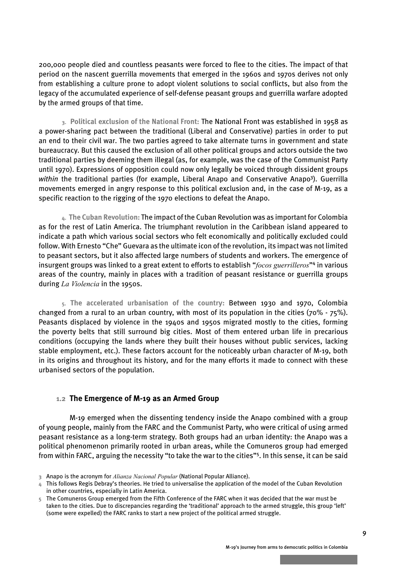<span id="page-7-0"></span>200,000 people died and countless peasants were forced to flee to the cities. The impact of that period on the nascent guerrilla movements that emerged in the 1960s and 1970s derives not only from establishing a culture prone to adopt violent solutions to social conflicts, but also from the legacy of the accumulated experience of self-defense peasant groups and guerrilla warfare adopted by the armed groups of that time.

**3. Political exclusion of the National Front:** The National Front was established in 1958 as a power-sharing pact between the traditional (Liberal and Conservative) parties in order to put an end to their civil war. The two parties agreed to take alternate turns in government and state bureaucracy. But this caused the exclusion of all other political groups and actors outside the two traditional parties by deeming them illegal (as, for example, was the case of the Communist Party until 1970). Expressions of opposition could now only legally be voiced through dissident groups within the traditional parties (for example, Liberal Anapo and Conservative Anapo<sup>3</sup>). Guerrilla movements emerged in angry response to this political exclusion and, in the case of M-19, as a specific reaction to the rigging of the 1970 elections to defeat the Anapo.

**4. The Cuban Revolution:** The impact of the Cuban Revolution was as important for Colombia as for the rest of Latin America. The triumphant revolution in the Caribbean island appeared to indicate a path which various social sectors who felt economically and politically excluded could follow. With Ernesto "Che" Guevara as the ultimate icon of the revolution, its impact was not limited to peasant sectors, but it also affected large numbers of students and workers. The emergence of insurgent groups was linked to a great extent to efforts to establish "*focos guerrilleros*"<sup>4</sup> in various areas of the country, mainly in places with a tradition of peasant resistance or guerrilla groups during *La Violencia* in the 1950s.

**5. The accelerated urbanisation of the country:** Between 1930 and 1970, Colombia changed from a rural to an urban country, with most of its population in the cities (70% - 75%). Peasants displaced by violence in the 1940s and 1950s migrated mostly to the cities, forming the poverty belts that still surround big cities. Most of them entered urban life in precarious conditions (occupying the lands where they built their houses without public services, lacking stable employment, etc.). These factors account for the noticeably urban character of M-19, both in its origins and throughout its history, and for the many efforts it made to connect with these urbanised sectors of the population.

#### **1.2 The Emergence of M-19 as an Armed Group**

M-19 emerged when the dissenting tendency inside the Anapo combined with a group of young people, mainly from the FARC and the Communist Party, who were critical of using armed peasant resistance as a long-term strategy. Both groups had an urban identity: the Anapo was a political phenomenon primarily rooted in urban areas, while the Comuneros group had emerged from within FARC, arguing the necessity "to take the war to the cities"<sup>5</sup> . In this sense, it can be said

**<sup>3</sup>** Anapo is the acronym for *Alianza Nacional Popular* (National Popular Alliance).

**<sup>4</sup>** This follows Regis Debray's theories. He tried to universalise the application of the model of the Cuban Revolution in other countries, especially in Latin America.

**<sup>5</sup>** The Comuneros Group emerged from the Fifth Conference of the FARC when it was decided that the war must be taken to the cities. Due to discrepancies regarding the 'traditional' approach to the armed struggle, this group 'left' (some were expelled) the FARC ranks to start a new project of the political armed struggle.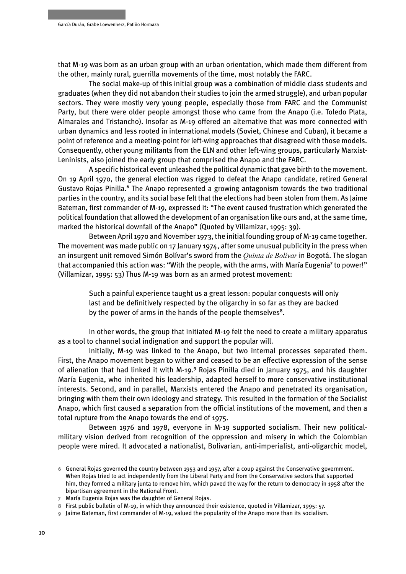that M-19 was born as an urban group with an urban orientation, which made them different from the other, mainly rural, guerrilla movements of the time, most notably the FARC.

The social make-up of this initial group was a combination of middle class students and graduates (when they did not abandon their studies to join the armed struggle), and urban popular sectors. They were mostly very young people, especially those from FARC and the Communist Party, but there were older people amongst those who came from the Anapo (i.e. Toledo Plata, Almarales and Tristancho). Insofar as M-19 offered an alternative that was more connected with urban dynamics and less rooted in international models (Soviet, Chinese and Cuban), it became a point of reference and a meeting-point for left-wing approaches that disagreed with those models. Consequently, other young militants from the ELN and other left-wing groups, particularly Marxist-Leninists, also joined the early group that comprised the Anapo and the FARC.

A specific historical event unleashed the political dynamic that gave birth to the movement. On 19 April 1970, the general election was rigged to defeat the Anapo candidate, retired General Gustavo Rojas Pinilla.<sup>6</sup> The Anapo represented a growing antagonism towards the two traditional parties in the country, and its social base felt that the elections had been stolen from them. As Jaime Bateman, first commander of M-19, expressed it: "The event caused frustration which generated the political foundation that allowed the development of an organisation like ours and, at the same time, marked the historical downfall of the Anapo" (Quoted by Villamizar, 1995: 39).

Between April 1970 and November 1973, the initial founding group of M-19 came together. The movement was made public on 17 January 1974, after some unusual publicity in the press when an insurgent unit removed Simón Bolívar's sword from the *Quinta de Bolívar* in Bogotá. The slogan that accompanied this action was: "With the people, with the arms, with María Eugenia<sup>7</sup> to power!" (Villamizar, 1995: 53) Thus M-19 was born as an armed protest movement:

Such a painful experience taught us a great lesson: popular conquests will only last and be definitively respected by the oligarchy in so far as they are backed by the power of arms in the hands of the people themselves<sup>8</sup>.

In other words, the group that initiated M-19 felt the need to create a military apparatus as a tool to channel social indignation and support the popular will.

Initially, M-19 was linked to the Anapo, but two internal processes separated them. First, the Anapo movement began to wither and ceased to be an effective expression of the sense of alienation that had linked it with M-19.<sup>9</sup> Rojas Pinilla died in January 1975, and his daughter María Eugenia, who inherited his leadership, adapted herself to more conservative institutional interests. Second, and in parallel, Marxists entered the Anapo and penetrated its organisation, bringing with them their own ideology and strategy. This resulted in the formation of the Socialist Anapo, which first caused a separation from the official institutions of the movement, and then a total rupture from the Anapo towards the end of 1975.

Between 1976 and 1978, everyone in M-19 supported socialism. Their new politicalmilitary vision derived from recognition of the oppression and misery in which the Colombian people were mired. It advocated a nationalist, Bolivarian, anti-imperialist, anti-oligarchic model,

**<sup>6</sup>** General Rojas governed the country between 1953 and 1957, after a coup against the Conservative government. When Rojas tried to act independently from the Liberal Party and from the Conservative sectors that supported him, they formed a military junta to remove him, which paved the way for the return to democracy in 1958 after the bipartisan agreement in the National Front.

**<sup>7</sup>** María Eugenia Rojas was the daughter of General Rojas.

**<sup>8</sup>** First public bulletin of M-19, in which they announced their existence, quoted in Villamizar, 1995: 57.

**<sup>9</sup>** Jaime Bateman, first commander of M-19, valued the popularity of the Anapo more than its socialism.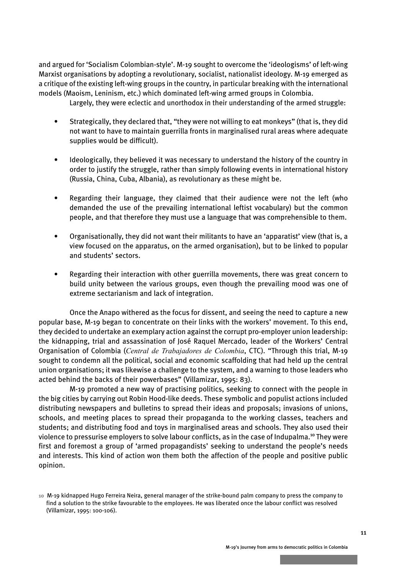and argued for 'Socialism Colombian-style'. M-19 sought to overcome the 'ideologisms' of left-wing Marxist organisations by adopting a revolutionary, socialist, nationalist ideology. M-19 emerged as a critique of the existing left-wing groups in the country, in particular breaking with the international models (Maoism, Leninism, etc.) which dominated left-wing armed groups in Colombia.

Largely, they were eclectic and unorthodox in their understanding of the armed struggle:

- Strategically, they declared that, "they were not willing to eat monkeys" (that is, they did not want to have to maintain guerrilla fronts in marginalised rural areas where adequate supplies would be difficult).
- Ideologically, they believed it was necessary to understand the history of the country in order to justify the struggle, rather than simply following events in international history (Russia, China, Cuba, Albania), as revolutionary as these might be.
- Regarding their language, they claimed that their audience were not the left (who demanded the use of the prevailing international leftist vocabulary) but the common people, and that therefore they must use a language that was comprehensible to them.
- Organisationally, they did not want their militants to have an 'apparatist' view (that is, a view focused on the apparatus, on the armed organisation), but to be linked to popular and students' sectors.
- Regarding their interaction with other guerrilla movements, there was great concern to build unity between the various groups, even though the prevailing mood was one of extreme sectarianism and lack of integration.

Once the Anapo withered as the focus for dissent, and seeing the need to capture a new popular base, M-19 began to concentrate on their links with the workers' movement. To this end, they decided to undertake an exemplary action against the corrupt pro-employer union leadership: the kidnapping, trial and assassination of José Raquel Mercado, leader of the Workers' Central Organisation of Colombia (*Central de Trabajadores de Colombia*, CTC). "Through this trial, M-19 sought to condemn all the political, social and economic scaffolding that had held up the central union organisations; it was likewise a challenge to the system, and a warning to those leaders who acted behind the backs of their powerbases" (Villamizar, 1995: 83).

M-19 promoted a new way of practising politics, seeking to connect with the people in the big cities by carrying out Robin Hood-like deeds. These symbolic and populist actions included distributing newspapers and bulletins to spread their ideas and proposals; invasions of unions, schools, and meeting places to spread their propaganda to the working classes, teachers and students; and distributing food and toys in marginalised areas and schools. They also used their violence to pressurise employers to solve labour conflicts, as in the case of Indupalma.<sup>10</sup> They were first and foremost a group of 'armed propagandists' seeking to understand the people's needs and interests. This kind of action won them both the affection of the people and positive public opinion.

**<sup>10</sup>** M-19 kidnapped Hugo Ferreira Neira, general manager of the strike-bound palm company to press the company to find a solution to the strike favourable to the employees. He was liberated once the labour conflict was resolved (Villamizar, 1995: 100-106).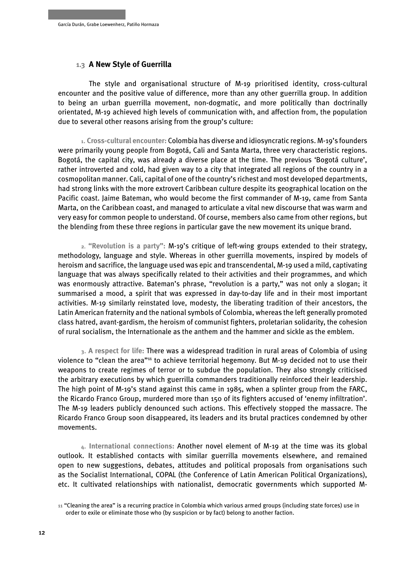#### <span id="page-10-0"></span>**1.3 A New Style of Guerrilla**

The style and organisational structure of M-19 prioritised identity, cross-cultural encounter and the positive value of difference, more than any other guerrilla group. In addition to being an urban guerrilla movement, non-dogmatic, and more politically than doctrinally orientated, M-19 achieved high levels of communication with, and affection from, the population due to several other reasons arising from the group's culture:

**1**. **Cross-cultural encounter:** Colombia has diverse and idiosyncratic regions. M-19's founders were primarily young people from Bogotá, Cali and Santa Marta, three very characteristic regions. Bogotá, the capital city, was already a diverse place at the time. The previous 'Bogotá culture', rather introverted and cold, had given way to a city that integrated all regions of the country in a cosmopolitan manner. Cali, capital of one of the country's richest and most developed departments, had strong links with the more extrovert Caribbean culture despite its geographical location on the Pacific coast. Jaime Bateman, who would become the first commander of M-19, came from Santa Marta, on the Caribbean coast, and managed to articulate a vital new discourse that was warm and very easy for common people to understand. Of course, members also came from other regions, but the blending from these three regions in particular gave the new movement its unique brand.

**2. "Revolution is a party":** M-19's critique of left-wing groups extended to their strategy, methodology, language and style. Whereas in other guerrilla movements, inspired by models of heroism and sacrifice, the language used was epic and transcendental, M-19 used a mild, captivating language that was always specifically related to their activities and their programmes, and which was enormously attractive. Bateman's phrase, "revolution is a party," was not only a slogan; it summarised a mood, a spirit that was expressed in day-to-day life and in their most important activities. M-19 similarly reinstated love, modesty, the liberating tradition of their ancestors, the Latin American fraternity and the national symbols of Colombia, whereas the left generally promoted class hatred, avant-gardism, the heroism of communist fighters, proletarian solidarity, the cohesion of rural socialism, the Internationale as the anthem and the hammer and sickle as the emblem.

**3**. **A respect for life:** There was a widespread tradition in rural areas of Colombia of using violence to "clean the area"<sup>11</sup> to achieve territorial hegemony. But M-19 decided not to use their weapons to create regimes of terror or to subdue the population. They also strongly criticised the arbitrary executions by which guerrilla commanders traditionally reinforced their leadership. The high point of M-19's stand against this came in 1985, when a splinter group from the FARC, the Ricardo Franco Group, murdered more than 150 of its fighters accused of 'enemy infiltration'. The M-19 leaders publicly denounced such actions. This effectively stopped the massacre. The Ricardo Franco Group soon disappeared, its leaders and its brutal practices condemned by other movements.

**4**. **International connections:** Another novel element of M-19 at the time was its global outlook. It established contacts with similar guerrilla movements elsewhere, and remained open to new suggestions, debates, attitudes and political proposals from organisations such as the Socialist International, COPAL (the Conference of Latin American Political Organizations), etc. It cultivated relationships with nationalist, democratic governments which supported M-

**<sup>11</sup>** "Cleaning the area" is a recurring practice in Colombia which various armed groups (including state forces) use in order to exile or eliminate those who (by suspicion or by fact) belong to another faction.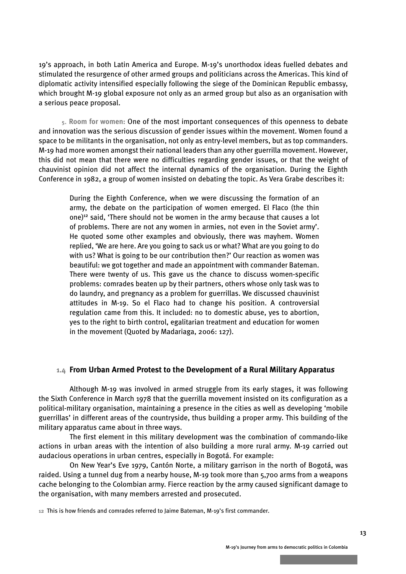<span id="page-11-0"></span>19's approach, in both Latin America and Europe. M-19's unorthodox ideas fuelled debates and stimulated the resurgence of other armed groups and politicians across the Americas. This kind of diplomatic activity intensified especially following the siege of the Dominican Republic embassy, which brought M-19 global exposure not only as an armed group but also as an organisation with a serious peace proposal.

**5**. **Room for women:** One of the most important consequences of this openness to debate and innovation was the serious discussion of gender issues within the movement. Women found a space to be militants in the organisation, not only as entry-level members, but as top commanders. M-19 had more women amongst their national leaders than any other guerrilla movement. However, this did not mean that there were no difficulties regarding gender issues, or that the weight of chauvinist opinion did not affect the internal dynamics of the organisation. During the Eighth Conference in 1982, a group of women insisted on debating the topic. As Vera Grabe describes it:

During the Eighth Conference, when we were discussing the formation of an army, the debate on the participation of women emerged. El Flaco (the thin one)<sup>12</sup> said, 'There should not be women in the army because that causes a lot of problems. There are not any women in armies, not even in the Soviet army'. He quoted some other examples and obviously, there was mayhem. Women replied, 'We are here. Are you going to sack us or what? What are you going to do with us? What is going to be our contribution then?' Our reaction as women was beautiful: we got together and made an appointment with commander Bateman. There were twenty of us. This gave us the chance to discuss women-specific problems: comrades beaten up by their partners, others whose only task was to do laundry, and pregnancy as a problem for guerrillas. We discussed chauvinist attitudes in M-19. So el Flaco had to change his position. A controversial regulation came from this. It included: no to domestic abuse, yes to abortion, yes to the right to birth control, egalitarian treatment and education for women in the movement (Quoted by Madariaga, 2006: 127).

#### **1.4 From Urban Armed Protest to the Development of a Rural Military Apparatu***s*

Although M-19 was involved in armed struggle from its early stages, it was following the Sixth Conference in March 1978 that the guerrilla movement insisted on its configuration as a political-military organisation, maintaining a presence in the cities as well as developing 'mobile guerrillas' in different areas of the countryside, thus building a proper army. This building of the military apparatus came about in three ways.

The first element in this military development was the combination of commando-like actions in urban areas with the intention of also building a more rural army. M-19 carried out audacious operations in urban centres, especially in Bogotá. For example:

On New Year's Eve 1979, Cantón Norte, a military garrison in the north of Bogotá, was raided. Using a tunnel dug from a nearby house, M-19 took more than 5,700 arms from a weapons cache belonging to the Colombian army. Fierce reaction by the army caused significant damage to the organisation, with many members arrested and prosecuted.

**12** This is how friends and comrades referred to Jaime Bateman, M-19's first commander.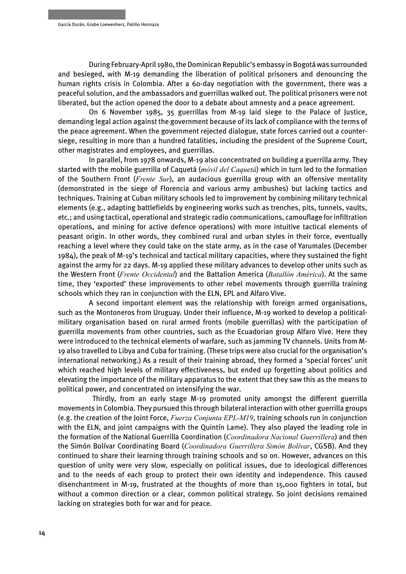During February-April 1980, the Dominican Republic's embassy in Bogotá was surrounded and besieged, with M-19 demanding the liberation of political prisoners and denouncing the human rights crisis in Colombia. After a 60-day negotiation with the government, there was a peaceful solution, and the ambassadors and guerrillas walked out. The political prisoners were not liberated, but the action opened the door to a debate about amnesty and a peace agreement.

On 6 November 1985, 35 guerrillas from M-19 laid siege to the Palace of Justice, demanding legal action against the government because of its lack of compliance with the terms of the peace agreement. When the government rejected dialogue, state forces carried out a countersiege, resulting in more than a hundred fatalities, including the president of the Supreme Court, other magistrates and employees, and guerrillas.

In parallel, from 1978 onwards, M-19 also concentrated on building a guerrilla army. They started with the mobile guerrilla of Caquetá (*móvil del Caquetá*) which in turn led to the formation of the Southern Front (*Frente Sur*), an audacious guerrilla group with an offensive mentality (demonstrated in the siege of Florencia and various army ambushes) but lacking tactics and techniques. Training at Cuban military schools led to improvement by combining military technical elements (e.g., adapting battlefields by engineering works such as trenches, pits, tunnels, vaults, etc.; and using tactical, operational and strategic radio communications, camouflage for infiltration operations, and mining for active defence operations) with more intuitive tactical elements of peasant origin. In other words, they combined rural and urban styles in their force, eventually reaching a level where they could take on the state army, as in the case of Yarumales (December 1984), the peak of M-19's technical and tactical military capacities, where they sustained the fight against the army for 22 days. M-19 applied these military advances to develop other units such as the Western Front (*Frente Occidental*) and the Battalion America (*Batallón América*). At the same time, they 'exported' these improvements to other rebel movements through guerrilla training schools which they ran in conjunction with the ELN, EPL and Alfaro Vive.

A second important element was the relationship with foreign armed organisations, such as the Montoneros from Uruguay. Under their influence, M-19 worked to develop a politicalmilitary organisation based on rural armed fronts (mobile guerrillas) with the participation of guerrilla movements from other countries, such as the Ecuadorian group Alfaro Vive. Here they were introduced to the technical elements of warfare, such as jamming TV channels. Units from M-19 also travelled to Libya and Cuba for training. (These trips were also crucial for the organisation's international networking.) As a result of their training abroad, they formed a 'special forces' unit which reached high levels of military effectiveness, but ended up forgetting about politics and elevating the importance of the military apparatus to the extent that they saw this as the means to political power, and concentrated on intensifying the war.

 Thirdly, from an early stage M-19 promoted unity amongst the different guerrilla movements in Colombia. They pursued this through bilateral interaction with other guerrilla groups (e.g. the creation of the Joint Force, *Fuerza Conjunta EPL-M19*, training schools run in conjunction with the ELN, and joint campaigns with the Quintín Lame). They also played the leading role in the formation of the National Guerrilla Coordination (*Coordinadora Nacional Guerrillera*) and then the Simón Bolívar Coordinating Board (*Coordinadora Guerrillera Simón Bolívar*, CGSB). And they continued to share their learning through training schools and so on. However, advances on this question of unity were very slow, especially on political issues, due to ideological differences and to the needs of each group to protect their own identity and independence. This caused disenchantment in M-19, frustrated at the thoughts of more than 15,000 fighters in total, but without a common direction or a clear, common political strategy. So joint decisions remained lacking on strategies both for war and for peace.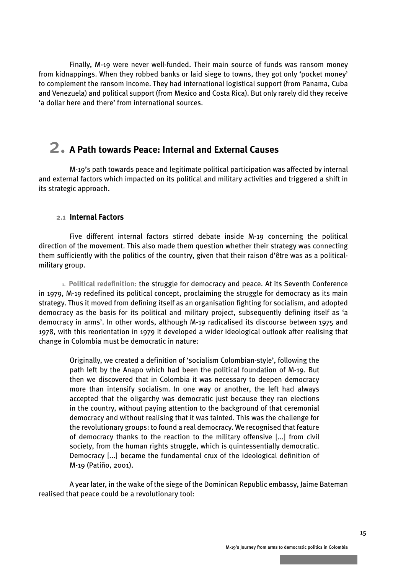<span id="page-13-0"></span>Finally, M-19 were never well-funded. Their main source of funds was ransom money from kidnappings. When they robbed banks or laid siege to towns, they got only 'pocket money' to complement the ransom income. They had international logistical support (from Panama, Cuba and Venezuela) and political support (from Mexico and Costa Rica). But only rarely did they receive 'a dollar here and there' from international sources.

## 2. **A Path towards Peace: Internal and External Causes**

M-19's path towards peace and legitimate political participation was affected by internal and external factors which impacted on its political and military activities and triggered a shift in its strategic approach.

#### **2.1 Internal Factors**

Five different internal factors stirred debate inside M-19 concerning the political direction of the movement. This also made them question whether their strategy was connecting them sufficiently with the politics of the country, given that their raison d'être was as a politicalmilitary group.

**1. Political redefinition:** the struggle for democracy and peace. At its Seventh Conference in 1979, M-19 redefined its political concept, proclaiming the struggle for democracy as its main strategy. Thus it moved from defining itself as an organisation fighting for socialism, and adopted democracy as the basis for its political and military project, subsequently defining itself as 'a democracy in arms'. In other words, although M-19 radicalised its discourse between 1975 and 1978, with this reorientation in 1979 it developed a wider ideological outlook after realising that change in Colombia must be democratic in nature:

Originally, we created a definition of 'socialism Colombian-style', following the path left by the Anapo which had been the political foundation of M-19. But then we discovered that in Colombia it was necessary to deepen democracy more than intensify socialism. In one way or another, the left had always accepted that the oligarchy was democratic just because they ran elections in the country, without paying attention to the background of that ceremonial democracy and without realising that it was tainted. This was the challenge for the revolutionary groups: to found a real democracy. We recognised that feature of democracy thanks to the reaction to the military offensive [...] from civil society, from the human rights struggle, which is quintessentially democratic. Democracy [...] became the fundamental crux of the ideological definition of M-19 (Patiño, 2001).

A year later, in the wake of the siege of the Dominican Republic embassy, Jaime Bateman realised that peace could be a revolutionary tool: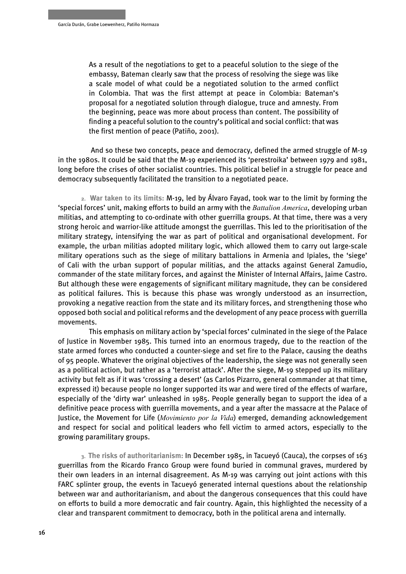As a result of the negotiations to get to a peaceful solution to the siege of the embassy, Bateman clearly saw that the process of resolving the siege was like a scale model of what could be a negotiated solution to the armed conflict in Colombia. That was the first attempt at peace in Colombia: Bateman's proposal for a negotiated solution through dialogue, truce and amnesty. From the beginning, peace was more about process than content. The possibility of finding a peaceful solution to the country's political and social conflict: that was the first mention of peace (Patiño, 2001).

 And so these two concepts, peace and democracy, defined the armed struggle of M-19 in the 1980s. It could be said that the M-19 experienced its 'perestroika' between 1979 and 1981, long before the crises of other socialist countries. This political belief in a struggle for peace and democracy subsequently facilitated the transition to a negotiated peace.

**2. War taken to its limits:** M-19, led by Álvaro Fayad, took war to the limit by forming the 'special forces' unit, making efforts to build an army with the *Battalion America*, developing urban militias, and attempting to co-ordinate with other guerrilla groups. At that time, there was a very strong heroic and warrior-like attitude amongst the guerrillas. This led to the prioritisation of the military strategy, intensifying the war as part of political and organisational development. For example, the urban militias adopted military logic, which allowed them to carry out large-scale military operations such as the siege of military battalions in Armenia and Ipiales, the 'siege' of Cali with the urban support of popular militias, and the attacks against General Zamudio, commander of the state military forces, and against the Minister of Internal Affairs, Jaime Castro. But although these were engagements of significant military magnitude, they can be considered as political failures. This is because this phase was wrongly understood as an insurrection, provoking a negative reaction from the state and its military forces, and strengthening those who opposed both social and political reforms and the development of any peace process with guerrilla movements.

This emphasis on military action by 'special forces' culminated in the siege of the Palace of Justice in November 1985. This turned into an enormous tragedy, due to the reaction of the state armed forces who conducted a counter-siege and set fire to the Palace, causing the deaths of 95 people. Whatever the original objectives of the leadership, the siege was not generally seen as a political action, but rather as a 'terrorist attack'. After the siege, M-19 stepped up its military activity but felt as if it was 'crossing a desert' (as Carlos Pizarro, general commander at that time, expressed it) because people no longer supported its war and were tired of the effects of warfare, especially of the 'dirty war' unleashed in 1985. People generally began to support the idea of a definitive peace process with guerrilla movements, and a year after the massacre at the Palace of Justice, the Movement for Life (*Movimiento por la Vida*) emerged, demanding acknowledgement and respect for social and political leaders who fell victim to armed actors, especially to the growing paramilitary groups.

**3. The risks of authoritarianism:** In December 1985, in Tacueyó (Cauca), the corpses of 163 guerrillas from the Ricardo Franco Group were found buried in communal graves, murdered by their own leaders in an internal disagreement. As M-19 was carrying out joint actions with this FARC splinter group, the events in Tacueyó generated internal questions about the relationship between war and authoritarianism, and about the dangerous consequences that this could have on efforts to build a more democratic and fair country. Again, this highlighted the necessity of a clear and transparent commitment to democracy, both in the political arena and internally.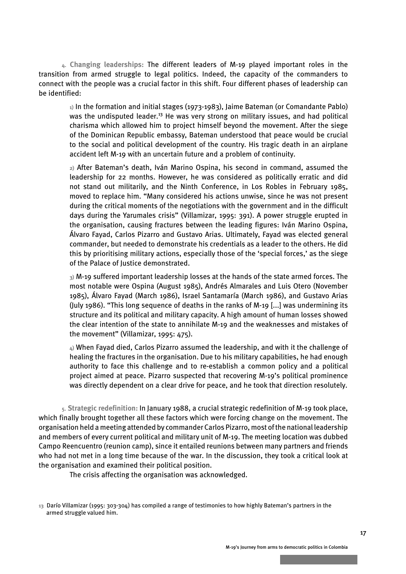**4. Changing leaderships:** The different leaders of M-19 played important roles in the transition from armed struggle to legal politics. Indeed, the capacity of the commanders to connect with the people was a crucial factor in this shift. Four different phases of leadership can be identified:

**1)** In the formation and initial stages (1973-1983), Jaime Bateman (or Comandante Pablo) was the undisputed leader.<sup>13</sup> He was very strong on military issues, and had political charisma which allowed him to project himself beyond the movement. After the siege of the Dominican Republic embassy, Bateman understood that peace would be crucial to the social and political development of the country. His tragic death in an airplane accident left M-19 with an uncertain future and a problem of continuity.

**2)** After Bateman's death, Iván Marino Ospina, his second in command, assumed the leadership for 22 months. However, he was considered as politically erratic and did not stand out militarily, and the Ninth Conference, in Los Robles in February 1985, moved to replace him. "Many considered his actions unwise, since he was not present during the critical moments of the negotiations with the government and in the difficult days during the Yarumales crisis" (Villamizar, 1995: 391). A power struggle erupted in the organisation, causing fractures between the leading figures: Iván Marino Ospina, Álvaro Fayad, Carlos Pizarro and Gustavo Arias. Ultimately, Fayad was elected general commander, but needed to demonstrate his credentials as a leader to the others. He did this by prioritising military actions, especially those of the 'special forces,' as the siege of the Palace of Justice demonstrated.

**3)** M-19 suffered important leadership losses at the hands of the state armed forces. The most notable were Ospina (August 1985), Andrés Almarales and Luis Otero (November 1985), Álvaro Fayad (March 1986), Israel Santamaría (March 1986), and Gustavo Arias (July 1986). "This long sequence of deaths in the ranks of M-19 [...] was undermining its structure and its political and military capacity. A high amount of human losses showed the clear intention of the state to annihilate M-19 and the weaknesses and mistakes of the movement" (Villamizar, 1995: 475).

**4)** When Fayad died, Carlos Pizarro assumed the leadership, and with it the challenge of healing the fractures in the organisation. Due to his military capabilities, he had enough authority to face this challenge and to re-establish a common policy and a political project aimed at peace. Pizarro suspected that recovering M-19's political prominence was directly dependent on a clear drive for peace, and he took that direction resolutely.

**5. Strategic redefinition:** In January 1988, a crucial strategic redefinition of M-19 took place, which finally brought together all these factors which were forcing change on the movement. The organisation held a meeting attended by commander Carlos Pizarro, most of the national leadership and members of every current political and military unit of M-19. The meeting location was dubbed Campo Reencuentro (reunion camp), since it entailed reunions between many partners and friends who had not met in a long time because of the war. In the discussion, they took a critical look at the organisation and examined their political position.

The crisis affecting the organisation was acknowledged.

**<sup>13</sup>** Darío Villamizar (1995: 303-304) has compiled a range of testimonies to how highly Bateman's partners in the armed struggle valued him.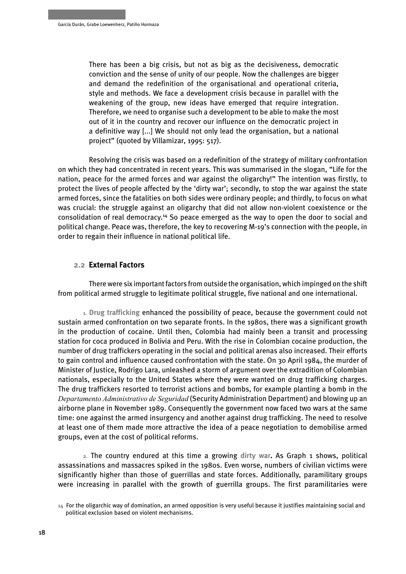<span id="page-16-0"></span>There has been a big crisis, but not as big as the decisiveness, democratic conviction and the sense of unity of our people. Now the challenges are bigger and demand the redefinition of the organisational and operational criteria, style and methods. We face a development crisis because in parallel with the weakening of the group, new ideas have emerged that require integration. Therefore, we need to organise such a development to be able to make the most out of it in the country and recover our influence on the democratic project in a definitive way [...] We should not only lead the organisation, but a national project" (quoted by Villamizar, 1995: 517).

Resolving the crisis was based on a redefinition of the strategy of military confrontation on which they had concentrated in recent years. This was summarised in the slogan, "Life for the nation, peace for the armed forces and war against the oligarchy!" The intention was firstly, to protect the lives of people affected by the 'dirty war'; secondly, to stop the war against the state armed forces, since the fatalities on both sides were ordinary people; and thirdly, to focus on what was crucial: the struggle against an oligarchy that did not allow non-violent coexistence or the consolidation of real democracy.<sup>14</sup> So peace emerged as the way to open the door to social and political change. Peace was, therefore, the key to recovering M-19's connection with the people, in order to regain their influence in national political life.

#### **2.2 External Factors**

There were six important factors from outside the organisation, which impinged on the shift from political armed struggle to legitimate political struggle, five national and one international.

**1. Drug trafficking** enhanced the possibility of peace, because the government could not sustain armed confrontation on two separate fronts. In the 1980s, there was a significant growth in the production of cocaine. Until then, Colombia had mainly been a transit and processing station for coca produced in Bolivia and Peru. With the rise in Colombian cocaine production, the number of drug traffickers operating in the social and political arenas also increased. Their efforts to gain control and influence caused confrontation with the state. On 30 April 1984, the murder of Minister of Justice, Rodrigo Lara, unleashed a storm of argument over the extradition of Colombian nationals, especially to the United States where they were wanted on drug trafficking charges. The drug traffickers resorted to terrorist actions and bombs, for example planting a bomb in the *Departamento Administrativo de Seguridad* (Security Administration Department) and blowing up an airborne plane in November 1989. Consequently the government now faced two wars at the same time: one against the armed insurgency and another against drug trafficking. The need to resolve at least one of them made more attractive the idea of a peace negotiation to demobilise armed groups, even at the cost of political reforms.

**2.** The country endured at this time a growing **dirty war.** As Graph 1 shows, political assassinations and massacres spiked in the 1980s. Even worse, numbers of civilian victims were significantly higher than those of guerrillas and state forces. Additionally, paramilitary groups were increasing in parallel with the growth of guerrilla groups. The first paramilitaries were

**<sup>14</sup>** For the oligarchic way of domination, an armed opposition is very useful because it justifies maintaining social and political exclusion based on violent mechanisms.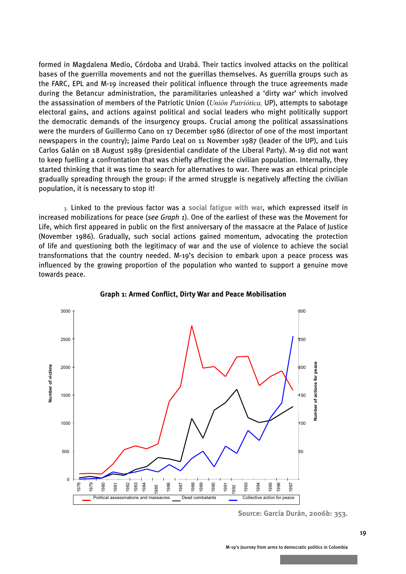formed in Magdalena Medio, Córdoba and Urabá. Their tactics involved attacks on the political bases of the guerrilla movements and not the guerillas themselves. As guerrilla groups such as the FARC, EPL and M-19 increased their political influence through the truce agreements made during the Betancur administration, the paramilitaries unleashed a 'dirty war' which involved the assassination of members of the Patriotic Union (*Unión Patriótica,* UP), attempts to sabotage electoral gains, and actions against political and social leaders who might politically support the democratic demands of the insurgency groups. Crucial among the political assassinations were the murders of Guillermo Cano on 17 December 1986 (director of one of the most important newspapers in the country); Jaime Pardo Leal on 11 November 1987 (leader of the UP), and Luis Carlos Galán on 18 August 1989 (presidential candidate of the Liberal Party). M-19 did not want to keep fuelling a confrontation that was chiefly affecting the civilian population. Internally, they started thinking that it was time to search for alternatives to war. There was an ethical principle gradually spreading through the group: if the armed struggle is negatively affecting the civilian population, it is necessary to stop it!

**3.** Linked to the previous factor was a **social fatigue with war**, which expressed itself in increased mobilizations for peace (*see Graph 1*). One of the earliest of these was the Movement for Life, which first appeared in public on the first anniversary of the massacre at the Palace of Justice (November 1986). Gradually, such social actions gained momentum, advocating the protection of life and questioning both the legitimacy of war and the use of violence to achieve the social transformations that the country needed. M-19's decision to embark upon a peace process was influenced by the growing proportion of the population who wanted to support a genuine move towards peace.



**Graph 1: Armed Conflict, Dirty War and Peace Mobilisation**

**Source: García Durán, 2006b: 353.**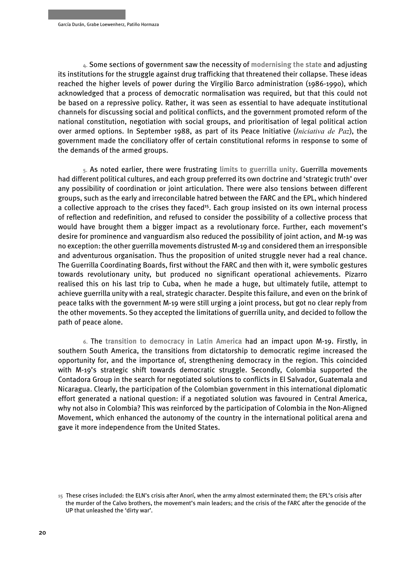**4.** Some sections of government saw the necessity of **modernising the state** and adjusting its institutions for the struggle against drug trafficking that threatened their collapse. These ideas reached the higher levels of power during the Virgilio Barco administration (1986-1990), which acknowledged that a process of democratic normalisation was required, but that this could not be based on a repressive policy. Rather, it was seen as essential to have adequate institutional channels for discussing social and political conflicts, and the government promoted reform of the national constitution, negotiation with social groups, and prioritisation of legal political action over armed options. In September 1988, as part of its Peace Initiative (*Iniciativa de Paz*), the government made the conciliatory offer of certain constitutional reforms in response to some of the demands of the armed groups.

**5.** As noted earlier, there were frustrating **limits to guerrilla unity**. Guerrilla movements had different political cultures, and each group preferred its own doctrine and 'strategic truth' over any possibility of coordination or joint articulation. There were also tensions between different groups, such as the early and irreconcilable hatred between the FARC and the EPL, which hindered a collective approach to the crises they faced<sup>15</sup>. Each group insisted on its own internal process of reflection and redefinition, and refused to consider the possibility of a collective process that would have brought them a bigger impact as a revolutionary force. Further, each movement's desire for prominence and vanguardism also reduced the possibility of joint action, and M-19 was no exception: the other guerrilla movements distrusted M-19 and considered them an irresponsible and adventurous organisation. Thus the proposition of united struggle never had a real chance. The Guerrilla Coordinating Boards, first without the FARC and then with it, were symbolic gestures towards revolutionary unity, but produced no significant operational achievements. Pizarro realised this on his last trip to Cuba, when he made a huge, but ultimately futile, attempt to achieve guerrilla unity with a real, strategic character. Despite this failure, and even on the brink of peace talks with the government M-19 were still urging a joint process, but got no clear reply from the other movements. So they accepted the limitations of guerrilla unity, and decided to follow the path of peace alone.

**6.** The **transition to democracy in Latin America** had an impact upon M-19. Firstly, in southern South America, the transitions from dictatorship to democratic regime increased the opportunity for, and the importance of, strengthening democracy in the region. This coincided with M-19's strategic shift towards democratic struggle. Secondly, Colombia supported the Contadora Group in the search for negotiated solutions to conflicts in El Salvador, Guatemala and Nicaragua. Clearly, the participation of the Colombian government in this international diplomatic effort generated a national question: if a negotiated solution was favoured in Central America, why not also in Colombia? This was reinforced by the participation of Colombia in the Non-Aligned Movement, which enhanced the autonomy of the country in the international political arena and gave it more independence from the United States.

**<sup>15</sup>** These crises included: the ELN's crisis after Anorí, when the army almost exterminated them; the EPL's crisis after the murder of the Calvo brothers, the movement's main leaders; and the crisis of the FARC after the genocide of the UP that unleashed the 'dirty war'.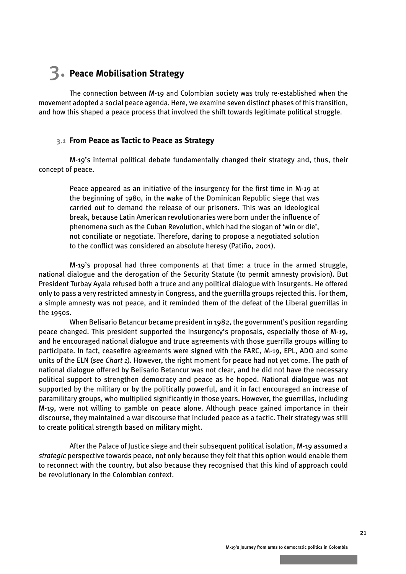## <span id="page-19-0"></span>3. **Peace Mobilisation Strategy**

The connection between M-19 and Colombian society was truly re-established when the movement adopted a social peace agenda. Here, we examine seven distinct phases of this transition, and how this shaped a peace process that involved the shift towards legitimate political struggle.

#### **3.1 From Peace as Tactic to Peace as Strategy**

M-19's internal political debate fundamentally changed their strategy and, thus, their concept of peace.

Peace appeared as an initiative of the insurgency for the first time in M-19 at the beginning of 1980, in the wake of the Dominican Republic siege that was carried out to demand the release of our prisoners. This was an ideological break, because Latin American revolutionaries were born under the influence of phenomena such as the Cuban Revolution, which had the slogan of 'win or die', not conciliate or negotiate. Therefore, daring to propose a negotiated solution to the conflict was considered an absolute heresy (Patiño, 2001).

M-19's proposal had three components at that time: a truce in the armed struggle, national dialogue and the derogation of the Security Statute (to permit amnesty provision). But President Turbay Ayala refused both a truce and any political dialogue with insurgents. He offered only to pass a very restricted amnesty in Congress, and the guerrilla groups rejected this. For them, a simple amnesty was not peace, and it reminded them of the defeat of the Liberal guerrillas in the 1950s.

When Belisario Betancur became president in 1982, the government's position regarding peace changed. This president supported the insurgency's proposals, especially those of M-19, and he encouraged national dialogue and truce agreements with those guerrilla groups willing to participate. In fact, ceasefire agreements were signed with the FARC, M-19, EPL, ADO and some units of the ELN (*see Chart 1*). However, the right moment for peace had not yet come. The path of national dialogue offered by Belisario Betancur was not clear, and he did not have the necessary political support to strengthen democracy and peace as he hoped. National dialogue was not supported by the military or by the politically powerful, and it in fact encouraged an increase of paramilitary groups, who multiplied significantly in those years. However, the guerrillas, including M-19, were not willing to gamble on peace alone. Although peace gained importance in their discourse, they maintained a war discourse that included peace as a tactic. Their strategy was still to create political strength based on military might.

After the Palace of Justice siege and their subsequent political isolation, M-19 assumed a *strategic* perspective towards peace, not only because they felt that this option would enable them to reconnect with the country, but also because they recognised that this kind of approach could be revolutionary in the Colombian context.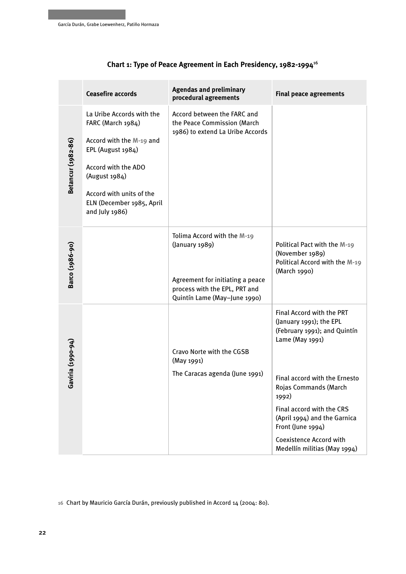|                    | <b>Ceasefire accords</b>                                                                                                                                                                                           | <b>Agendas and preliminary</b><br>procedural agreements                                                                                            | <b>Final peace agreements</b>                                                                                                                                                                                                                                                                                                  |
|--------------------|--------------------------------------------------------------------------------------------------------------------------------------------------------------------------------------------------------------------|----------------------------------------------------------------------------------------------------------------------------------------------------|--------------------------------------------------------------------------------------------------------------------------------------------------------------------------------------------------------------------------------------------------------------------------------------------------------------------------------|
| Betancur (1982-86) | La Uribe Accords with the<br>FARC (March 1984)<br>Accord with the M-19 and<br>EPL (August 1984)<br>Accord with the ADO<br>(August 1984)<br>Accord with units of the<br>ELN (December 1985, April<br>and July 1986) | Accord between the FARC and<br>the Peace Commission (March<br>1986) to extend La Uribe Accords                                                     |                                                                                                                                                                                                                                                                                                                                |
| Barco (1986-90)    |                                                                                                                                                                                                                    | Tolima Accord with the M-19<br>(January 1989)<br>Agreement for initiating a peace<br>process with the EPL, PRT and<br>Quintín Lame (May-June 1990) | Political Pact with the M-19<br>(November 1989)<br>Political Accord with the M-19<br>(March 1990)                                                                                                                                                                                                                              |
| Gaviria (1990-94)  |                                                                                                                                                                                                                    | Cravo Norte with the CGSB<br>(May 1991)<br>The Caracas agenda (June 1991)                                                                          | Final Accord with the PRT<br>(January 1991); the EPL<br>(February 1991); and Quintín<br>Lame (May 1991)<br>Final accord with the Ernesto<br>Rojas Commands (March<br>1992)<br>Final accord with the CRS<br>(April 1994) and the Garnica<br>Front (June 1994)<br><b>Coexistence Accord with</b><br>Medellín militias (May 1994) |

#### **Chart 1: Type of Peace Agreement in Each Presidency, 1982-1994**<sup>16</sup>

**16** Chart by Mauricio García Durán, previously published in Accord 14 (2004: 80).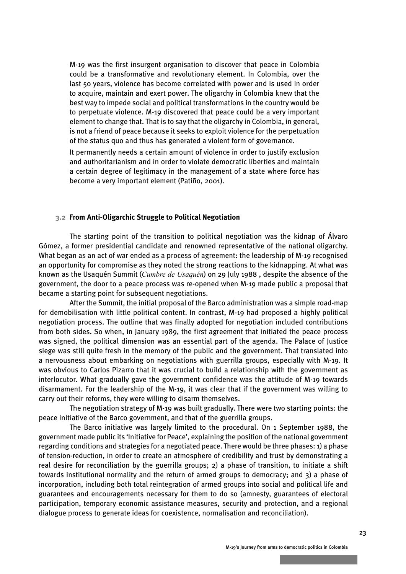<span id="page-21-0"></span>M-19 was the first insurgent organisation to discover that peace in Colombia could be a transformative and revolutionary element. In Colombia, over the last 50 years, violence has become correlated with power and is used in order to acquire, maintain and exert power. The oligarchy in Colombia knew that the best way to impede social and political transformations in the country would be to perpetuate violence. M-19 discovered that peace could be a very important element to change that. That is to say that the oligarchy in Colombia, in general, is not a friend of peace because it seeks to exploit violence for the perpetuation of the status quo and thus has generated a violent form of governance.

It permanently needs a certain amount of violence in order to justify exclusion and authoritarianism and in order to violate democratic liberties and maintain a certain degree of legitimacy in the management of a state where force has become a very important element (Patiño, 2001).

#### **3.2 From Anti-Oligarchic Struggle to Political Negotiation**

The starting point of the transition to political negotiation was the kidnap of Álvaro Gómez, a former presidential candidate and renowned representative of the national oligarchy. What began as an act of war ended as a process of agreement: the leadership of M-19 recognised an opportunity for compromise as they noted the strong reactions to the kidnapping. At what was known as the Usaquén Summit (*Cumbre de Usaquén*) on 29 July 1988 , despite the absence of the government, the door to a peace process was re-opened when M-19 made public a proposal that became a starting point for subsequent negotiations.

After the Summit, the initial proposal of the Barco administration was a simple road-map for demobilisation with little political content. In contrast, M-19 had proposed a highly political negotiation process. The outline that was finally adopted for negotiation included contributions from both sides. So when, in January 1989, the first agreement that initiated the peace process was signed, the political dimension was an essential part of the agenda. The Palace of Justice siege was still quite fresh in the memory of the public and the government. That translated into a nervousness about embarking on negotiations with guerrilla groups, especially with M-19. It was obvious to Carlos Pizarro that it was crucial to build a relationship with the government as interlocutor. What gradually gave the government confidence was the attitude of M-19 towards disarmament. For the leadership of the M-19, it was clear that if the government was willing to carry out their reforms, they were willing to disarm themselves.

The negotiation strategy of M-19 was built gradually. There were two starting points: the peace initiative of the Barco government, and that of the guerrilla groups.

The Barco initiative was largely limited to the procedural. On 1 September 1988, the government made public its 'Initiative for Peace', explaining the position of the national government regarding conditions and strategies for a negotiated peace. There would be three phases: 1) a phase of tension-reduction, in order to create an atmosphere of credibility and trust by demonstrating a real desire for reconciliation by the guerrilla groups; 2) a phase of transition, to initiate a shift towards institutional normality and the return of armed groups to democracy; and 3) a phase of incorporation, including both total reintegration of armed groups into social and political life and guarantees and encouragements necessary for them to do so (amnesty, guarantees of electoral participation, temporary economic assistance measures, security and protection, and a regional dialogue process to generate ideas for coexistence, normalisation and reconciliation).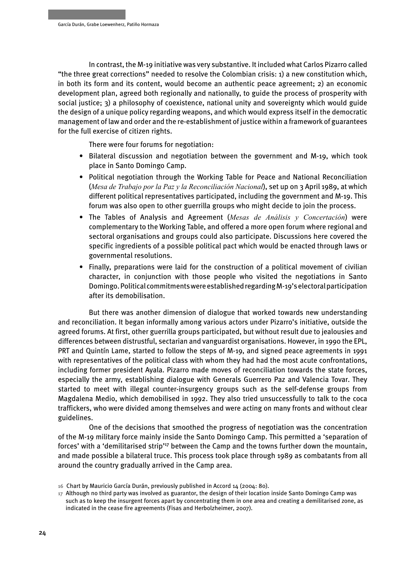In contrast, the M-19 initiative was very substantive. It included what Carlos Pizarro called "the three great corrections" needed to resolve the Colombian crisis: 1) a new constitution which, in both its form and its content, would become an authentic peace agreement; 2) an economic development plan, agreed both regionally and nationally, to guide the process of prosperity with social justice; 3) a philosophy of coexistence, national unity and sovereignty which would guide the design of a unique policy regarding weapons, and which would express itself in the democratic management of law and order and the re-establishment of justice within a framework of guarantees for the full exercise of citizen rights.

There were four forums for negotiation:

- Bilateral discussion and negotiation between the government and M-19, which took place in Santo Domingo Camp.
- Political negotiation through the Working Table for Peace and National Reconciliation (*Mesa de Trabajo por la Paz y la Reconciliación Nacional*), set up on 3 April 1989, at which different political representatives participated, including the government and M-19. This forum was also open to other guerrilla groups who might decide to join the process.
- The Tables of Analysis and Agreement (*Mesas de Análisis y Concertación*) were complementary to the Working Table, and offered a more open forum where regional and sectoral organisations and groups could also participate. Discussions here covered the specific ingredients of a possible political pact which would be enacted through laws or governmental resolutions.
- Finally, preparations were laid for the construction of a political movement of civilian character, in conjunction with those people who visited the negotiations in Santo Domingo. Political commitments were established regarding M-19's electoral participation after its demobilisation.

But there was another dimension of dialogue that worked towards new understanding and reconciliation. It began informally among various actors under Pizarro's initiative, outside the agreed forums. At first, other guerrilla groups participated, but without result due to jealousies and differences between distrustful, sectarian and vanguardist organisations. However, in 1990 the EPL, PRT and Quintín Lame, started to follow the steps of M-19, and signed peace agreements in 1991 with representatives of the political class with whom they had had the most acute confrontations, including former president Ayala. Pizarro made moves of reconciliation towards the state forces, especially the army, establishing dialogue with Generals Guerrero Paz and Valencia Tovar. They started to meet with illegal counter-insurgency groups such as the self-defense groups from Magdalena Medio, which demobilised in 1992. They also tried unsuccessfully to talk to the coca traffickers, who were divided among themselves and were acting on many fronts and without clear guidelines.

One of the decisions that smoothed the progress of negotiation was the concentration of the M-19 military force mainly inside the Santo Domingo Camp. This permitted a 'separation of forces' with a 'demilitarised strip'<sup>17</sup> between the Camp and the towns further down the mountain, and made possible a bilateral truce. This process took place through 1989 as combatants from all around the country gradually arrived in the Camp area.

**<sup>16</sup>** Chart by Mauricio García Durán, previously published in Accord 14 (2004: 80).

**<sup>17</sup>** Although no third party was involved as guarantor, the design of their location inside Santo Domingo Camp was such as to keep the insurgent forces apart by concentrating them in one area and creating a demilitarised zone, as indicated in the cease fire agreements (Fisas and Herbolzheimer, 2007).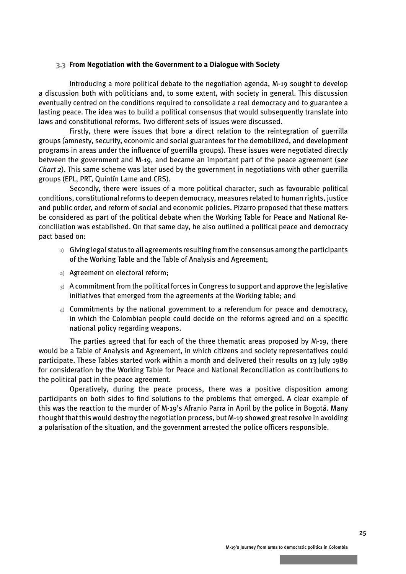#### <span id="page-23-0"></span> **3.3 From Negotiation with the Government to a Dialogue with Society**

Introducing a more political debate to the negotiation agenda, M-19 sought to develop a discussion both with politicians and, to some extent, with society in general. This discussion eventually centred on the conditions required to consolidate a real democracy and to guarantee a lasting peace. The idea was to build a political consensus that would subsequently translate into laws and constitutional reforms. Two different sets of issues were discussed.

Firstly, there were issues that bore a direct relation to the reintegration of guerrilla groups (amnesty, security, economic and social guarantees for the demobilized, and development programs in areas under the influence of guerrilla groups). These issues were negotiated directly between the government and M-19, and became an important part of the peace agreement (*see Chart 2*). This same scheme was later used by the government in negotiations with other guerrilla groups (EPL, PRT, Quintín Lame and CRS).

Secondly, there were issues of a more political character, such as favourable political conditions, constitutional reforms to deepen democracy, measures related to human rights, justice and public order, and reform of social and economic policies. Pizarro proposed that these matters be considered as part of the political debate when the Working Table for Peace and National Reconciliation was established. On that same day, he also outlined a political peace and democracy pact based on:

- **1)** Giving legal status to all agreements resulting from the consensus among the participants of the Working Table and the Table of Analysis and Agreement;
- **2)** Agreement on electoral reform;
- **3)** A commitment from the political forces in Congress to support and approve the legislative initiatives that emerged from the agreements at the Working table; and
- **4)** Commitments by the national government to a referendum for peace and democracy, in which the Colombian people could decide on the reforms agreed and on a specific national policy regarding weapons.

The parties agreed that for each of the three thematic areas proposed by M-19, there would be a Table of Analysis and Agreement, in which citizens and society representatives could participate. These Tables started work within a month and delivered their results on 13 July 1989 for consideration by the Working Table for Peace and National Reconciliation as contributions to the political pact in the peace agreement.

Operatively, during the peace process, there was a positive disposition among participants on both sides to find solutions to the problems that emerged. A clear example of this was the reaction to the murder of M-19's Afranio Parra in April by the police in Bogotá. Many thought that this would destroy the negotiation process, but M-19 showed great resolve in avoiding a polarisation of the situation, and the government arrested the police officers responsible.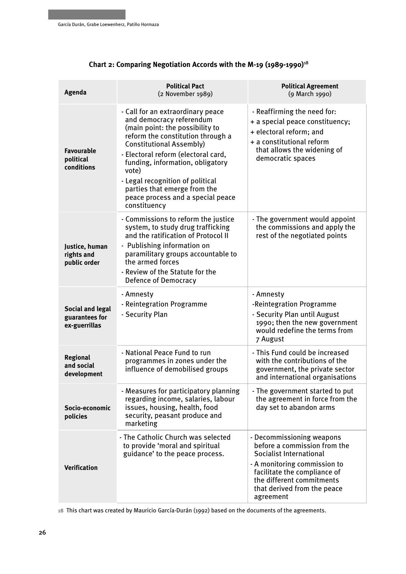| Agenda                                                     | <b>Political Pact</b><br>(2 November 1989)                                                                                                                                                                                                                                                                                                                                            | <b>Political Agreement</b><br>(9 March 1990)                                                                                                                                                                                  |  |
|------------------------------------------------------------|---------------------------------------------------------------------------------------------------------------------------------------------------------------------------------------------------------------------------------------------------------------------------------------------------------------------------------------------------------------------------------------|-------------------------------------------------------------------------------------------------------------------------------------------------------------------------------------------------------------------------------|--|
| <b>Favourable</b><br>political<br>conditions               | - Call for an extraordinary peace<br>and democracy referendum<br>(main point: the possibility to<br>reform the constitution through a<br><b>Constitutional Assembly)</b><br>- Electoral reform (electoral card,<br>funding, information, obligatory<br>vote)<br>- Legal recognition of political<br>parties that emerge from the<br>peace process and a special peace<br>constituency | - Reaffirming the need for:<br>+ a special peace constituency;<br>+ electoral reform; and<br>+ a constitutional reform<br>that allows the widening of<br>democratic spaces                                                    |  |
| Justice, human<br>rights and<br>public order               | - Commissions to reform the justice<br>system, to study drug trafficking<br>and the ratification of Protocol II<br>- Publishing information on<br>paramilitary groups accountable to<br>the armed forces<br>- Review of the Statute for the<br>Defence of Democracy                                                                                                                   | - The government would appoint<br>the commissions and apply the<br>rest of the negotiated points                                                                                                                              |  |
| <b>Social and legal</b><br>guarantees for<br>ex-guerrillas | - Amnesty<br>- Reintegration Programme<br>- Security Plan                                                                                                                                                                                                                                                                                                                             | - Amnesty<br>-Reintegration Programme<br>- Security Plan until August<br>1990; then the new government<br>would redefine the terms from<br>7 August                                                                           |  |
| <b>Regional</b><br>and social<br>development               | - National Peace Fund to run<br>programmes in zones under the<br>influence of demobilised groups                                                                                                                                                                                                                                                                                      | - This Fund could be increased<br>with the contributions of the<br>government, the private sector<br>and international organisations                                                                                          |  |
| Socio-economic<br>policies                                 | - Measures for participatory planning<br>regarding income, salaries, labour<br>issues, housing, health, food<br>security, peasant produce and<br>marketing                                                                                                                                                                                                                            | - The government started to put<br>the agreement in force from the<br>day set to abandon arms                                                                                                                                 |  |
| <b>Verification</b>                                        | - The Catholic Church was selected<br>to provide 'moral and spiritual<br>guidance' to the peace process.                                                                                                                                                                                                                                                                              | - Decommissioning weapons<br>before a commission from the<br>Socialist International<br>- A monitoring commission to<br>facilitate the compliance of<br>the different commitments<br>that derived from the peace<br>agreement |  |

#### **Chart 2: Comparing Negotiation Accords with the M-19 (1989-1990)**<sup>18</sup>

**18** This chart was created by Mauricio García-Durán (1992) based on the documents of the agreements.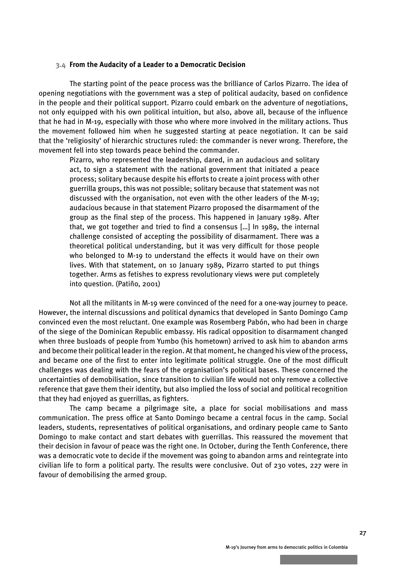#### <span id="page-25-0"></span> **3.4 From the Audacity of a Leader to a Democratic Decision**

The starting point of the peace process was the brilliance of Carlos Pizarro. The idea of opening negotiations with the government was a step of political audacity, based on confidence in the people and their political support. Pizarro could embark on the adventure of negotiations, not only equipped with his own political intuition, but also, above all, because of the influence that he had in M-19, especially with those who where more involved in the military actions. Thus the movement followed him when he suggested starting at peace negotiation. It can be said that the 'religiosity' of hierarchic structures ruled: the commander is never wrong. Therefore, the movement fell into step towards peace behind the commander.

Pizarro, who represented the leadership, dared, in an audacious and solitary act, to sign a statement with the national government that initiated a peace process; solitary because despite his efforts to create a joint process with other guerrilla groups, this was not possible; solitary because that statement was not discussed with the organisation, not even with the other leaders of the M-19; audacious because in that statement Pizarro proposed the disarmament of the group as the final step of the process. This happened in January 1989. After that, we got together and tried to find a consensus […] In 1989, the internal challenge consisted of accepting the possibility of disarmament. There was a theoretical political understanding, but it was very difficult for those people who belonged to M-19 to understand the effects it would have on their own lives. With that statement, on 10 January 1989, Pizarro started to put things together. Arms as fetishes to express revolutionary views were put completely into question. (Patiño, 2001)

Not all the militants in M-19 were convinced of the need for a one-way journey to peace. However, the internal discussions and political dynamics that developed in Santo Domingo Camp convinced even the most reluctant. One example was Rosemberg Pabón, who had been in charge of the siege of the Dominican Republic embassy. His radical opposition to disarmament changed when three busloads of people from Yumbo (his hometown) arrived to ask him to abandon arms and become their political leader in the region. At that moment, he changed his view of the process, and became one of the first to enter into legitimate political struggle. One of the most difficult challenges was dealing with the fears of the organisation's political bases. These concerned the uncertainties of demobilisation, since transition to civilian life would not only remove a collective reference that gave them their identity, but also implied the loss of social and political recognition that they had enjoyed as guerrillas, as fighters.

The camp became a pilgrimage site, a place for social mobilisations and mass communication. The press office at Santo Domingo became a central focus in the camp. Social leaders, students, representatives of political organisations, and ordinary people came to Santo Domingo to make contact and start debates with guerrillas. This reassured the movement that their decision in favour of peace was the right one. In October, during the Tenth Conference, there was a democratic vote to decide if the movement was going to abandon arms and reintegrate into civilian life to form a political party. The results were conclusive. Out of 230 votes, 227 were in favour of demobilising the armed group.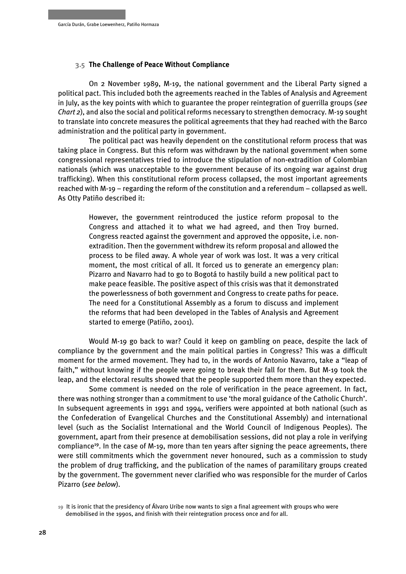#### **3.5 The Challenge of Peace Without Compliance**

On 2 November 1989, M-19, the national government and the Liberal Party signed a political pact. This included both the agreements reached in the Tables of Analysis and Agreement in July, as the key points with which to guarantee the proper reintegration of guerrilla groups (*see Chart 2*), and also the social and political reforms necessary to strengthen democracy. M-19 sought to translate into concrete measures the political agreements that they had reached with the Barco administration and the political party in government.

The political pact was heavily dependent on the constitutional reform process that was taking place in Congress. But this reform was withdrawn by the national government when some congressional representatives tried to introduce the stipulation of non-extradition of Colombian nationals (which was unacceptable to the government because of its ongoing war against drug trafficking). When this constitutional reform process collapsed, the most important agreements reached with M-19 – regarding the reform of the constitution and a referendum – collapsed as well. As Otty Patiño described it:

However, the government reintroduced the justice reform proposal to the Congress and attached it to what we had agreed, and then Troy burned. Congress reacted against the government and approved the opposite, i.e. nonextradition. Then the government withdrew its reform proposal and allowed the process to be filed away. A whole year of work was lost. It was a very critical moment, the most critical of all. It forced us to generate an emergency plan: Pizarro and Navarro had to go to Bogotá to hastily build a new political pact to make peace feasible. The positive aspect of this crisis was that it demonstrated the powerlessness of both government and Congress to create paths for peace. The need for a Constitutional Assembly as a forum to discuss and implement the reforms that had been developed in the Tables of Analysis and Agreement started to emerge (Patiño, 2001).

Would M-19 go back to war? Could it keep on gambling on peace, despite the lack of compliance by the government and the main political parties in Congress? This was a difficult moment for the armed movement. They had to, in the words of Antonio Navarro, take a "leap of faith," without knowing if the people were going to break their fall for them. But M-19 took the leap, and the electoral results showed that the people supported them more than they expected.

Some comment is needed on the role of verification in the peace agreement. In fact, there was nothing stronger than a commitment to use 'the moral guidance of the Catholic Church'. In subsequent agreements in 1991 and 1994, verifiers were appointed at both national (such as the Confederation of Evangelical Churches and the Constitutional Assembly) and international level (such as the Socialist International and the World Council of Indigenous Peoples). The government, apart from their presence at demobilisation sessions, did not play a role in verifying compliance<sup>19</sup>. In the case of M-19, more than ten years after signing the peace agreements, there were still commitments which the government never honoured, such as a commission to study the problem of drug trafficking, and the publication of the names of paramilitary groups created by the government. The government never clarified who was responsible for the murder of Carlos Pizarro (*see below*).

**<sup>19</sup>** It is ironic that the presidency of Álvaro Uribe now wants to sign a final agreement with groups who were demobilised in the 1990s, and finish with their reintegration process once and for all.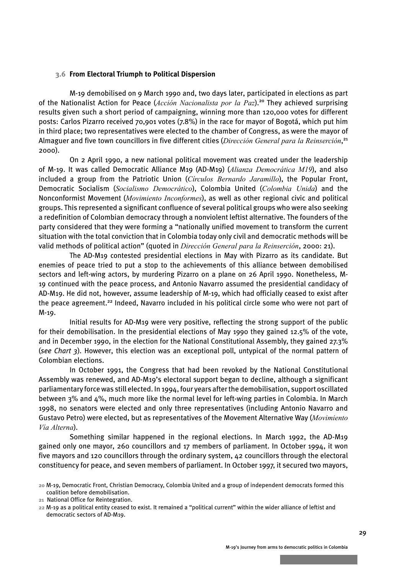#### <span id="page-27-0"></span> **3.6 From Electoral Triumph to Political Dispersion**

M-19 demobilised on 9 March 1990 and, two days later, participated in elections as part of the Nationalist Action for Peace (*Acción Nacionalista por la Paz*).<sup>20</sup> They achieved surprising results given such a short period of campaigning, winning more than 120,000 votes for different posts: Carlos Pizarro received 70,901 votes (7.8%) in the race for mayor of Bogotá, which put him in third place; two representatives were elected to the chamber of Congress, as were the mayor of Almaguer and five town councillors in five different cities (*Dirección General para la Reinserción*, 21 2000).

On 2 April 1990, a new national political movement was created under the leadership of M-19. It was called Democratic Alliance M19 (AD-M19) (*Alianza Democrática M19*), and also included a group from the Patriotic Union (*Círculos Bernardo Jaramillo*), the Popular Front, Democratic Socialism (*Socialismo Democrático*), Colombia United (*Colombia Unida*) and the Nonconformist Movement (*Movimiento Inconformes*), as well as other regional civic and political groups. This represented a significant confluence of several political groups who were also seeking a redefinition of Colombian democracy through a nonviolent leftist alternative. The founders of the party considered that they were forming a "nationally unified movement to transform the current situation with the total conviction that in Colombia today only civil and democratic methods will be valid methods of political action" (quoted in *Dirección General para la Reinserción*, 2000: 21).

The AD-M19 contested presidential elections in May with Pizarro as its candidate. But enemies of peace tried to put a stop to the achievements of this alliance between demobilised sectors and left-wing actors, by murdering Pizarro on a plane on 26 April 1990. Nonetheless, M-19 continued with the peace process, and Antonio Navarro assumed the presidential candidacy of AD-M19. He did not, however, assume leadership of M-19, which had officially ceased to exist after the peace agreement.<sup>22</sup> Indeed, Navarro included in his political circle some who were not part of M-19.

Initial results for AD-M19 were very positive, reflecting the strong support of the public for their demobilisation. In the presidential elections of May 1990 they gained 12.5% of the vote, and in December 1990, in the election for the National Constitutional Assembly, they gained 27.3% (*see Chart 3*). However, this election was an exceptional poll, untypical of the normal pattern of Colombian elections.

In October 1991, the Congress that had been revoked by the National Constitutional Assembly was renewed, and AD-M19's electoral support began to decline, although a significant parliamentary force was still elected. In 1994, four years after the demobilisation, support oscillated between 3% and 4%, much more like the normal level for left-wing parties in Colombia. In March 1998, no senators were elected and only three representatives (including Antonio Navarro and Gustavo Petro) were elected, but as representatives of the Movement Alternative Way (*Movimiento Vía Alterna*).

Something similar happened in the regional elections. In March 1992, the AD-M19 gained only one mayor, 260 councillors and 17 members of parliament. In October 1994, it won five mayors and 120 councillors through the ordinary system, 42 councillors through the electoral constituency for peace, and seven members of parliament. In October 1997, it secured two mayors,

**<sup>20</sup>** M-19, Democratic Front, Christian Democracy, Colombia United and a group of independent democrats formed this coalition before demobilisation.

**<sup>21</sup>** National Office for Reintegration.

**<sup>22</sup>** M-19 as a political entity ceased to exist. It remained a "political current" within the wider alliance of leftist and democratic sectors of AD-M19.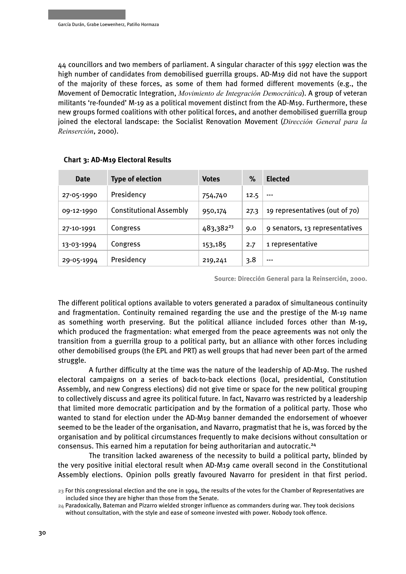44 councillors and two members of parliament. A singular character of this 1997 election was the high number of candidates from demobilised guerrilla groups. AD-M19 did not have the support of the majority of these forces, as some of them had formed different movements (e.g., the Movement of Democratic Integration, *Movimiento de Integración Democrática*). A group of veteran militants 're-founded' M-19 as a political movement distinct from the AD-M19. Furthermore, these new groups formed coalitions with other political forces, and another demobilised guerrilla group joined the electoral landscape: the Socialist Renovation Movement (*Dirección General para la Reinserción*, 2000).

| <b>Date</b> | <b>Type of election</b>        | <b>Votes</b>          | $\%$ | <b>Elected</b>                 |
|-------------|--------------------------------|-----------------------|------|--------------------------------|
| 27-05-1990  | Presidency                     | 754,740               | 12.5 | $--$                           |
| 09-12-1990  | <b>Constitutional Assembly</b> | 950,174               | 27.3 | 19 representatives (out of 70) |
| 27-10-1991  | Congress                       | 483,382 <sup>23</sup> | 9.0  | 9 senators, 13 representatives |
| 13-03-1994  | Congress                       | 153,185               | 2.7  | 1 representative               |
| 29-05-1994  | Presidency                     | 219,241               | 3.8  | ---                            |

#### **Chart 3: AD-M19 Electoral Results**

**Source: Dirección General para la Reinserción, 2000.**

The different political options available to voters generated a paradox of simultaneous continuity and fragmentation. Continuity remained regarding the use and the prestige of the M-19 name as something worth preserving. But the political alliance included forces other than M-19, which produced the fragmentation: what emerged from the peace agreements was not only the transition from a guerrilla group to a political party, but an alliance with other forces including other demobilised groups (the EPL and PRT) as well groups that had never been part of the armed struggle.

A further difficulty at the time was the nature of the leadership of AD-M19. The rushed electoral campaigns on a series of back-to-back elections (local, presidential, Constitution Assembly, and new Congress elections) did not give time or space for the new political grouping to collectively discuss and agree its political future. In fact, Navarro was restricted by a leadership that limited more democratic participation and by the formation of a political party. Those who wanted to stand for election under the AD-M19 banner demanded the endorsement of whoever seemed to be the leader of the organisation, and Navarro, pragmatist that he is, was forced by the organisation and by political circumstances frequently to make decisions without consultation or consensus. This earned him a reputation for being authoritarian and autocratic.<sup>24</sup>

The transition lacked awareness of the necessity to build a political party, blinded by the very positive initial electoral result when AD-M19 came overall second in the Constitutional Assembly elections. Opinion polls greatly favoured Navarro for president in that first period.

**<sup>23</sup>** For this congressional election and the one in 1994, the results of the votes for the Chamber of Representatives are included since they are higher than those from the Senate.

**<sup>24</sup>** Paradoxically, Bateman and Pizarro wielded stronger influence as commanders during war. They took decisions without consultation, with the style and ease of someone invested with power. Nobody took offence.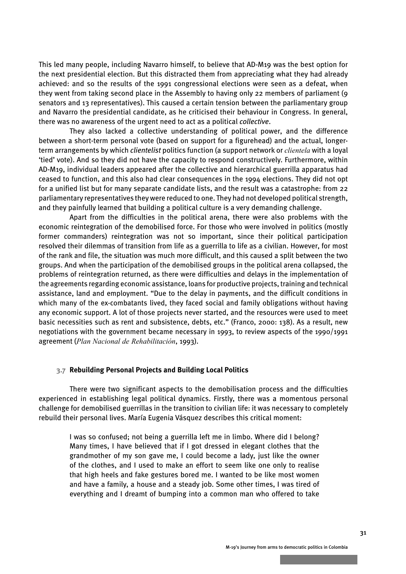<span id="page-29-0"></span>This led many people, including Navarro himself, to believe that AD-M19 was the best option for the next presidential election. But this distracted them from appreciating what they had already achieved: and so the results of the 1991 congressional elections were seen as a defeat, when they went from taking second place in the Assembly to having only 22 members of parliament (9 senators and 13 representatives). This caused a certain tension between the parliamentary group and Navarro the presidential candidate, as he criticised their behaviour in Congress. In general, there was no awareness of the urgent need to act as a political *collective*.

They also lacked a collective understanding of political power, and the difference between a short-term personal vote (based on support for a figurehead) and the actual, longerterm arrangements by which *clientelist* politics function (a support network or *clientela* with a loyal 'tied' vote). And so they did not have the capacity to respond constructively. Furthermore, within AD-M19, individual leaders appeared after the collective and hierarchical guerrilla apparatus had ceased to function, and this also had clear consequences in the 1994 elections. They did not opt for a unified list but for many separate candidate lists, and the result was a catastrophe: from 22 parliamentary representatives they were reduced to one. They had not developed political strength, and they painfully learned that building a political culture is a very demanding challenge.

Apart from the difficulties in the political arena, there were also problems with the economic reintegration of the demobilised force. For those who were involved in politics (mostly former commanders) reintegration was not so important, since their political participation resolved their dilemmas of transition from life as a guerrilla to life as a civilian. However, for most of the rank and file, the situation was much more difficult, and this caused a split between the two groups. And when the participation of the demobilised groups in the political arena collapsed, the problems of reintegration returned, as there were difficulties and delays in the implementation of the agreements regarding economic assistance, loans for productive projects, training and technical assistance, land and employment. "Due to the delay in payments, and the difficult conditions in which many of the ex-combatants lived, they faced social and family obligations without having any economic support. A lot of those projects never started, and the resources were used to meet basic necessities such as rent and subsistence, debts, etc." (Franco, 2000: 138). As a result, new negotiations with the government became necessary in 1993, to review aspects of the 1990/1991 agreement (*Plan Nacional de Rehabilitación*, 1993).

#### **3.7 Rebuilding Personal Projects and Building Local Politics**

There were two significant aspects to the demobilisation process and the difficulties experienced in establishing legal political dynamics. Firstly, there was a momentous personal challenge for demobilised guerrillas in the transition to civilian life: it was necessary to completely rebuild their personal lives. María Eugenia Vásquez describes this critical moment:

I was so confused; not being a guerrilla left me in limbo. Where did I belong? Many times, I have believed that if I got dressed in elegant clothes that the grandmother of my son gave me, I could become a lady, just like the owner of the clothes, and I used to make an effort to seem like one only to realise that high heels and fake gestures bored me. I wanted to be like most women and have a family, a house and a steady job. Some other times, I was tired of everything and I dreamt of bumping into a common man who offered to take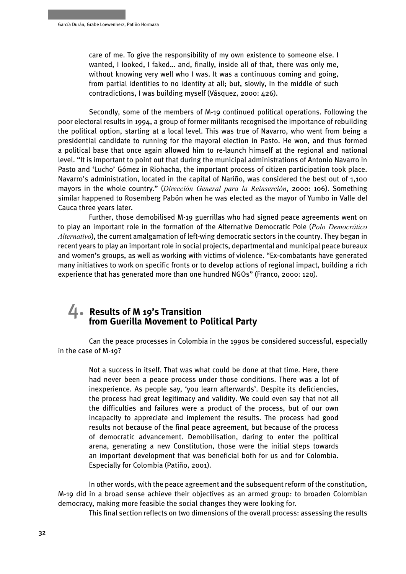<span id="page-30-0"></span>care of me. To give the responsibility of my own existence to someone else. I wanted, I looked, I faked… and, finally, inside all of that, there was only me, without knowing very well who I was. It was a continuous coming and going, from partial identities to no identity at all; but, slowly, in the middle of such contradictions, I was building myself (Vásquez, 2000: 426).

Secondly, some of the members of M-19 continued political operations. Following the poor electoral results in 1994, a group of former militants recognised the importance of rebuilding the political option, starting at a local level. This was true of Navarro, who went from being a presidential candidate to running for the mayoral election in Pasto. He won, and thus formed a political base that once again allowed him to re-launch himself at the regional and national level. "It is important to point out that during the municipal administrations of Antonio Navarro in Pasto and 'Lucho' Gómez in Riohacha, the important process of citizen participation took place. Navarro's administration, located in the capital of Nariño, was considered the best out of 1,100 mayors in the whole country." (*Dirección General para la Reinserción*, 2000: 106). Something similar happened to Rosemberg Pabón when he was elected as the mayor of Yumbo in Valle del Cauca three years later.

Further, those demobilised M-19 guerrillas who had signed peace agreements went on to play an important role in the formation of the Alternative Democratic Pole (*Polo Democrático Alternativo*), the current amalgamation of left-wing democratic sectors in the country. They began in recent years to play an important role in social projects, departmental and municipal peace bureaux and women's groups, as well as working with victims of violence. "Ex-combatants have generated many initiatives to work on specific fronts or to develop actions of regional impact, building a rich experience that has generated more than one hundred NGOs" (Franco, 2000: 120).

## 4. **Results of M 19's Transition from Guerilla Movement to Political Party**

Can the peace processes in Colombia in the 1990s be considered successful, especially in the case of M-19?

Not a success in itself. That was what could be done at that time. Here, there had never been a peace process under those conditions. There was a lot of inexperience. As people say, 'you learn afterwards'. Despite its deficiencies, the process had great legitimacy and validity. We could even say that not all the difficulties and failures were a product of the process, but of our own incapacity to appreciate and implement the results. The process had good results not because of the final peace agreement, but because of the process of democratic advancement. Demobilisation, daring to enter the political arena, generating a new Constitution, those were the initial steps towards an important development that was beneficial both for us and for Colombia. Especially for Colombia (Patiño, 2001).

In other words, with the peace agreement and the subsequent reform of the constitution, M-19 did in a broad sense achieve their objectives as an armed group: to broaden Colombian democracy, making more feasible the social changes they were looking for.

This final section reflects on two dimensions of the overall process: assessing the results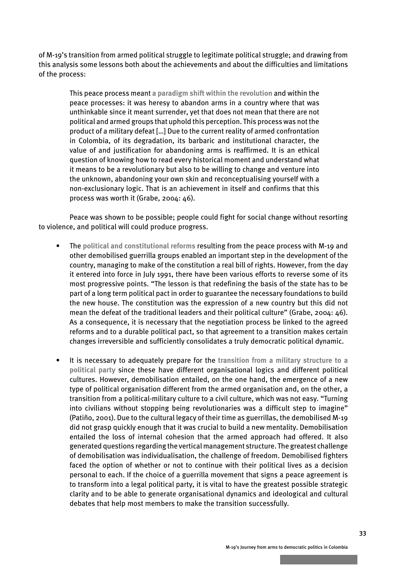of M-19's transition from armed political struggle to legitimate political struggle; and drawing from this analysis some lessons both about the achievements and about the difficulties and limitations of the process:

This peace process meant **a paradigm shift within the revolution** and within the peace processes: it was heresy to abandon arms in a country where that was unthinkable since it meant surrender, yet that does not mean that there are not political and armed groups that uphold this perception. This process was not the product of a military defeat […] Due to the current reality of armed confrontation in Colombia, of its degradation, its barbaric and institutional character, the value of and justification for abandoning arms is reaffirmed. It is an ethical question of knowing how to read every historical moment and understand what it means to be a revolutionary but also to be willing to change and venture into the unknown, abandoning your own skin and reconceptualising yourself with a non-exclusionary logic. That is an achievement in itself and confirms that this process was worth it (Grabe, 2004: 46).

Peace was shown to be possible; people could fight for social change without resorting to violence, and political will could produce progress.

- The **political and constitutional reforms** resulting from the peace process with M-19 and other demobilised guerrilla groups enabled an important step in the development of the country, managing to make of the constitution a real bill of rights. However, from the day it entered into force in July 1991, there have been various efforts to reverse some of its most progressive points. "The lesson is that redefining the basis of the state has to be part of a long term political pact in order to guarantee the necessary foundations to build the new house. The constitution was the expression of a new country but this did not mean the defeat of the traditional leaders and their political culture" (Grabe, 2004: 46). As a consequence, it is necessary that the negotiation process be linked to the agreed reforms and to a durable political pact, so that agreement to a transition makes certain changes irreversible and sufficiently consolidates a truly democratic political dynamic.
- It is necessary to adequately prepare for the **transition from a military structure to a political party** since these have different organisational logics and different political cultures. However, demobilisation entailed, on the one hand, the emergence of a new type of political organisation different from the armed organisation and, on the other, a transition from a political-military culture to a civil culture, which was not easy. "Turning into civilians without stopping being revolutionaries was a difficult step to imagine" (Patiño, 2001). Due to the cultural legacy of their time as guerrillas, the demobilised M-19 did not grasp quickly enough that it was crucial to build a new mentality. Demobilisation entailed the loss of internal cohesion that the armed approach had offered. It also generated questions regarding the vertical management structure. The greatest challenge of demobilisation was individualisation, the challenge of freedom. Demobilised fighters faced the option of whether or not to continue with their political lives as a decision personal to each. If the choice of a guerrilla movement that signs a peace agreement is to transform into a legal political party, it is vital to have the greatest possible strategic clarity and to be able to generate organisational dynamics and ideological and cultural debates that help most members to make the transition successfully.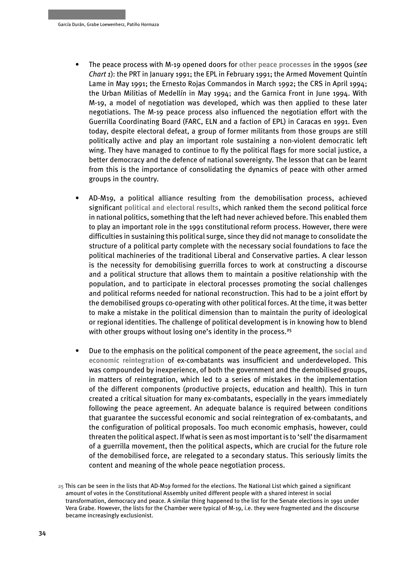- The peace process with M-19 opened doors for **other peace processes** in the 1990s (*see Chart 1*): the PRT in January 1991; the EPL in February 1991; the Armed Movement Quintín Lame in May 1991; the Ernesto Rojas Commandos in March 1992; the CRS in April 1994; the Urban Militias of Medellín in May 1994; and the Garnica Front in June 1994. With M-19, a model of negotiation was developed, which was then applied to these later negotiations. The M-19 peace process also influenced the negotiation effort with the Guerrilla Coordinating Board (FARC, ELN and a faction of EPL) in Caracas en 1991. Even today, despite electoral defeat, a group of former militants from those groups are still politically active and play an important role sustaining a non-violent democratic left wing. They have managed to continue to fly the political flags for more social justice, a better democracy and the defence of national sovereignty. The lesson that can be learnt from this is the importance of consolidating the dynamics of peace with other armed groups in the country.
- AD-M19, a political alliance resulting from the demobilisation process, achieved significant **political and electoral results**, which ranked them the second political force in national politics, something that the left had never achieved before. This enabled them to play an important role in the 1991 constitutional reform process. However, there were difficulties in sustaining this political surge, since they did not manage to consolidate the structure of a political party complete with the necessary social foundations to face the political machineries of the traditional Liberal and Conservative parties. A clear lesson is the necessity for demobilising guerrilla forces to work at constructing a discourse and a political structure that allows them to maintain a positive relationship with the population, and to participate in electoral processes promoting the social challenges and political reforms needed for national reconstruction. This had to be a joint effort by the demobilised groups co-operating with other political forces. At the time, it was better to make a mistake in the political dimension than to maintain the purity of ideological or regional identities. The challenge of political development is in knowing how to blend with other groups without losing one's identity in the process.<sup>25</sup>
- Due to the emphasis on the political component of the peace agreement, the **social and economic reintegration** of ex-combatants was insufficient and underdeveloped. This was compounded by inexperience, of both the government and the demobilised groups, in matters of reintegration, which led to a series of mistakes in the implementation of the different components (productive projects, education and health). This in turn created a critical situation for many ex-combatants, especially in the years immediately following the peace agreement. An adequate balance is required between conditions that guarantee the successful economic and social reintegration of ex-combatants, and the configuration of political proposals. Too much economic emphasis, however, could threaten the political aspect. If what is seen as most important is to 'sell' the disarmament of a guerrilla movement, then the political aspects, which are crucial for the future role of the demobilised force, are relegated to a secondary status. This seriously limits the content and meaning of the whole peace negotiation process.

**<sup>25</sup>** This can be seen in the lists that AD-M19 formed for the elections. The National List which gained a significant amount of votes in the Constitutional Assembly united different people with a shared interest in social transformation, democracy and peace. A similar thing happened to the list for the Senate elections in 1991 under Vera Grabe. However, the lists for the Chamber were typical of M-19, i.e. they were fragmented and the discourse became increasingly exclusionist.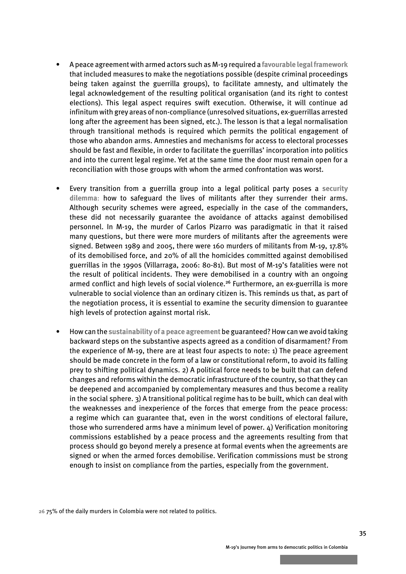- A peace agreement with armed actors such as M-19 required a **favourable legal framework** that included measures to make the negotiations possible (despite criminal proceedings being taken against the guerrilla groups), to facilitate amnesty, and ultimately the legal acknowledgement of the resulting political organisation (and its right to contest elections). This legal aspect requires swift execution. Otherwise, it will continue ad infinitum with grey areas of non-compliance (unresolved situations, ex-guerrillas arrested long after the agreement has been signed, etc.). The lesson is that a legal normalisation through transitional methods is required which permits the political engagement of those who abandon arms. Amnesties and mechanisms for access to electoral processes should be fast and flexible, in order to facilitate the guerrillas' incorporation into politics and into the current legal regime. Yet at the same time the door must remain open for a reconciliation with those groups with whom the armed confrontation was worst.
- Every transition from a guerrilla group into a legal political party poses a **security dilemma**: how to safeguard the lives of militants after they surrender their arms. Although security schemes were agreed, especially in the case of the commanders, these did not necessarily guarantee the avoidance of attacks against demobilised personnel. In M-19, the murder of Carlos Pizarro was paradigmatic in that it raised many questions, but there were more murders of militants after the agreements were signed. Between 1989 and 2005, there were 160 murders of militants from M-19, 17.8% of its demobilised force, and 20% of all the homicides committed against demobilised guerrillas in the 1990s (Villarraga, 2006: 80-81). But most of M-19's fatalities were not the result of political incidents. They were demobilised in a country with an ongoing armed conflict and high levels of social violence.<sup>26</sup> Furthermore, an ex-guerrilla is more vulnerable to social violence than an ordinary citizen is. This reminds us that, as part of the negotiation process, it is essential to examine the security dimension to guarantee high levels of protection against mortal risk.
- How can the **sustainability of a peace agreement** be guaranteed? How can we avoid taking backward steps on the substantive aspects agreed as a condition of disarmament? From the experience of M-19, there are at least four aspects to note: 1) The peace agreement should be made concrete in the form of a law or constitutional reform, to avoid its falling prey to shifting political dynamics. 2) A political force needs to be built that can defend changes and reforms within the democratic infrastructure of the country, so that they can be deepened and accompanied by complementary measures and thus become a reality in the social sphere. 3) A transitional political regime has to be built, which can deal with the weaknesses and inexperience of the forces that emerge from the peace process: a regime which can guarantee that, even in the worst conditions of electoral failure, those who surrendered arms have a minimum level of power. 4) Verification monitoring commissions established by a peace process and the agreements resulting from that process should go beyond merely a presence at formal events when the agreements are signed or when the armed forces demobilise. Verification commissions must be strong enough to insist on compliance from the parties, especially from the government.

**26** 75% of the daily murders in Colombia were not related to politics.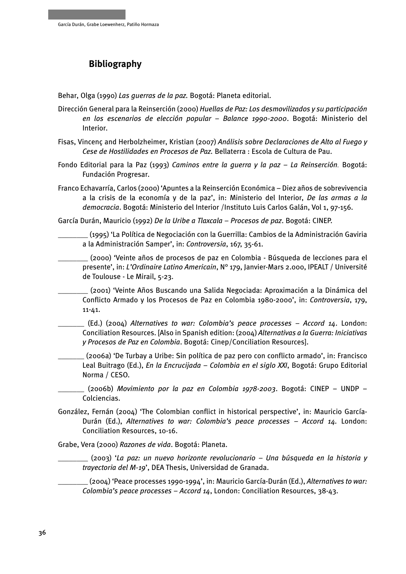## <span id="page-34-0"></span> **Bibliography**

Behar, Olga (1990) *Las guerras de la paz.* Bogotá: Planeta editorial.

- Dirección General para la Reinserción (2000) *Huellas de Paz: Los desmovilizados y su participación en los escenarios de elección popular – Balance 1990-2000*. Bogotá: Ministerio del Interior.
- Fisas, Vincenç and Herbolzheimer, Kristian (2007) *Análisis sobre Declaraciones de Alto al Fuego y Cese de Hostilidades en Procesos de Paz.* Bellaterra : Escola de Cultura de Pau.
- Fondo Editorial para la Paz (1993) *Caminos entre la guerra y la paz La Reinserción.* Bogotá: Fundación Progresar.
- Franco Echavarría, Carlos (2000) 'Apuntes a la Reinserción Económica Diez años de sobrevivencia a la crisis de la economía y de la paz', in: Ministerio del Interior, *De las armas a la democracia*. Bogotá: Ministerio del Interior /Instituto Luis Carlos Galán, Vol 1, 97-156.

García Durán, Mauricio (1992) *De la Uribe a Tlaxcala – Procesos de paz*. Bogotá: CINEP.

\_\_\_\_\_\_\_\_ (1995) 'La Política de Negociación con la Guerrilla: Cambios de la Administración Gaviria a la Administración Samper', in: *Controversia*, 167, 35-61.

\_\_\_\_\_\_\_\_ (2000) 'Veinte años de procesos de paz en Colombia - Búsqueda de lecciones para el presente', in: *L'Ordinaire Latino Americain*, N° 179, Janvier-Mars 2.000, IPEALT / Université de Toulouse - Le Mirail, 5-23.

\_\_\_\_\_\_\_\_ (2001) 'Veinte Años Buscando una Salida Negociada: Aproximación a la Dinámica del Conflicto Armado y los Procesos de Paz en Colombia 1980-2000', in: *Controversia*, 179, 11-41.

\_\_\_\_\_\_\_ (Ed.) (2004) *Alternatives to war: Colombia's peace processes – Accord 14*. London: Conciliation Resources. [Also in Spanish edition: (2004) *Alternativas a la Guerra: Iniciativas y Procesos de Paz en Colombia*. Bogotá: Cinep/Conciliation Resources].

\_\_\_\_\_\_\_ (2006a) 'De Turbay a Uribe: Sin política de paz pero con conflicto armado', in: Francisco Leal Buitrago (Ed.), *En la Encrucijada – Colombia en el siglo XXI*, Bogotá: Grupo Editorial Norma / CESO.

\_\_\_\_\_\_\_ (2006b) *Movimiento por la paz en Colombia 1978-2003*. Bogotá: CINEP – UNDP – Colciencias.

González, Fernán (2004) 'The Colombian conflict in historical perspective', in: Mauricio García-Durán (Ed.), *Alternatives to war: Colombia's peace processes – Accord 14.* London: Conciliation Resources, 10-16.

Grabe, Vera (2000) *Razones de vida*. Bogotá: Planeta.

\_\_\_\_\_\_\_\_ (2003) '*La paz: un nuevo horizonte revolucionario – Una búsqueda en la historia y trayectoria del M-19*', DEA Thesis, Universidad de Granada.

\_\_\_\_\_\_\_\_ (2004) 'Peace processes 1990-1994', in: Mauricio García-Durán (Ed.), *Alternatives to war: Colombia's peace processes – Accord 14*, London: Conciliation Resources, 38-43.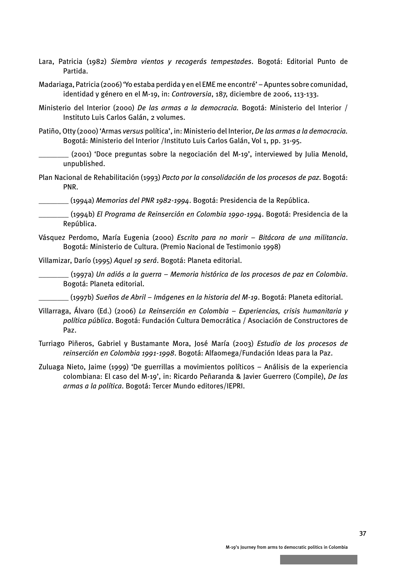Lara, Patricia (1982) *Siembra vientos y recogerás tempestades*. Bogotá: Editorial Punto de Partida.

Madariaga, Patricia (2006) 'Yo estaba perdida y en el EME me encontré' – Apuntes sobre comunidad, identidad y género en el M-19, in: *Controversia*, 187, diciembre de 2006, 113-133.

Ministerio del Interior (2000) *De las armas a la democracia.* Bogotá: Ministerio del Interior / Instituto Luis Carlos Galán, 2 volumes.

Patiño, Otty (2000) 'Armas *versus* política', in: Ministerio del Interior, *De las armas a la democracia.*  Bogotá: Ministerio del Interior /Instituto Luis Carlos Galán, Vol 1, pp. 31-95.

\_\_\_\_\_\_\_\_ (2001) 'Doce preguntas sobre la negociación del M-19', interviewed by Julia Menold, unpublished.

Plan Nacional de Rehabilitación (1993) *Pacto por la consolidación de los procesos de paz*. Bogotá: PNR.

\_\_\_\_\_\_\_\_ (1994a) *Memorias del PNR 1982-1994*. Bogotá: Presidencia de la República.

\_\_\_\_\_\_\_\_ (1994b) *El Programa de Reinserción en Colombia 1990-1994*. Bogotá: Presidencia de la República.

Vásquez Perdomo, María Eugenia (2000) *Escrito para no morir – Bitácora de una militancia*. Bogotá: Ministerio de Cultura. (Premio Nacional de Testimonio 1998)

Villamizar, Darío (1995) *Aquel 19 será*. Bogotá: Planeta editorial.

\_\_\_\_\_\_\_\_ (1997a) *Un adiós a la guerra – Memoria histórica de los procesos de paz en Colombia*. Bogotá: Planeta editorial.

\_\_\_\_\_\_\_\_ (1997b) *Sueños de Abril – Imágenes en la historia del M-19*. Bogotá: Planeta editorial.

- Villarraga, Álvaro (Ed.) (2006) *La Reinserción en Colombia Experiencias, crisis humanitaria y política pública*. Bogotá: Fundación Cultura Democrática / Asociación de Constructores de Paz.
- Turriago Piñeros, Gabriel y Bustamante Mora, José María (2003) *Estudio de los procesos de reinserción en Colombia 1991-1998*. Bogotá: Alfaomega/Fundación Ideas para la Paz.
- Zuluaga Nieto, Jaime (1999) 'De guerrillas a movimientos políticos Análisis de la experiencia colombiana: El caso del M-19', in: Ricardo Peñaranda & Javier Guerrero (Compile), *De las armas a la política*. Bogotá: Tercer Mundo editores/IEPRI.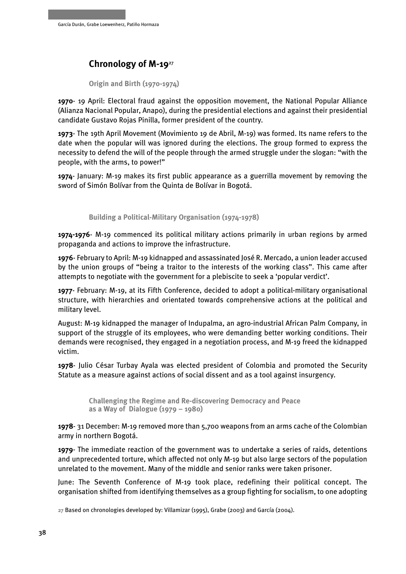## <span id="page-36-0"></span> **Chronology of M-19**<sup>27</sup>

**Origin and Birth (1970-1974)**

**1970**- 19 April: Electoral fraud against the opposition movement, the National Popular Alliance (Alianza Nacional Popular, Anapo), during the presidential elections and against their presidential candidate Gustavo Rojas Pinilla, former president of the country.

**1973**- The 19th April Movement (Movimiento 19 de Abril, M-19) was formed. Its name refers to the date when the popular will was ignored during the elections. The group formed to express the necessity to defend the will of the people through the armed struggle under the slogan: "with the people, with the arms, to power!"

**1974**- January: M-19 makes its first public appearance as a guerrilla movement by removing the sword of Simón Bolívar from the Quinta de Bolívar in Bogotá.

**Building a Political-Military Organisation (1974-1978)**

**1974-1976**- M-19 commenced its political military actions primarily in urban regions by armed propaganda and actions to improve the infrastructure.

**1976**- February to April: M-19 kidnapped and assassinated José R. Mercado, a union leader accused by the union groups of "being a traitor to the interests of the working class". This came after attempts to negotiate with the government for a plebiscite to seek a 'popular verdict'.

**1977**- February: M-19, at its Fifth Conference, decided to adopt a political-military organisational structure, with hierarchies and orientated towards comprehensive actions at the political and military level.

August: M-19 kidnapped the manager of Indupalma, an agro-industrial African Palm Company, in support of the struggle of its employees, who were demanding better working conditions. Their demands were recognised, they engaged in a negotiation process, and M-19 freed the kidnapped victim.

**1978**- Julio César Turbay Ayala was elected president of Colombia and promoted the Security Statute as a measure against actions of social dissent and as a tool against insurgency.

 **Challenging the Regime and Re-discovering Democracy and Peace as a Way of Dialogue (1979 – 1980)** 

**1978**- 31 December: M-19 removed more than 5,700 weapons from an arms cache of the Colombian army in northern Bogotá.

**1979**- The immediate reaction of the government was to undertake a series of raids, detentions and unprecedented torture, which affected not only M-19 but also large sectors of the population unrelated to the movement. Many of the middle and senior ranks were taken prisoner.

June: The Seventh Conference of M-19 took place, redefining their political concept. The organisation shifted from identifying themselves as a group fighting for socialism, to one adopting

**<sup>27</sup>** Based on chronologies developed by: Villamizar (1995), Grabe (2003) and García (2004).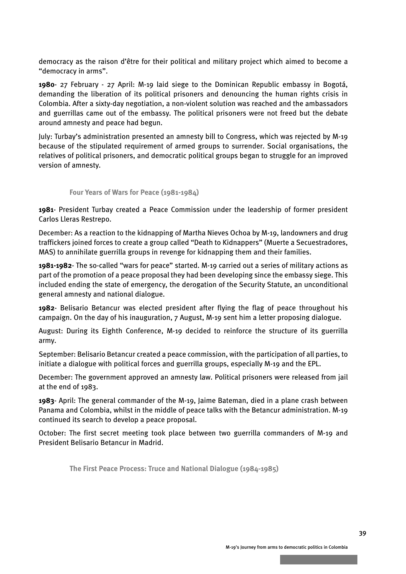democracy as the raison d'être for their political and military project which aimed to become a "democracy in arms".

**1980**- 27 February - 27 April: M-19 laid siege to the Dominican Republic embassy in Bogotá, demanding the liberation of its political prisoners and denouncing the human rights crisis in Colombia. After a sixty-day negotiation, a non-violent solution was reached and the ambassadors and guerrillas came out of the embassy. The political prisoners were not freed but the debate around amnesty and peace had begun.

July: Turbay's administration presented an amnesty bill to Congress, which was rejected by M-19 because of the stipulated requirement of armed groups to surrender. Social organisations, the relatives of political prisoners, and democratic political groups began to struggle for an improved version of amnesty.

#### **Four Years of Wars for Peace (1981-1984)**

**1981**- President Turbay created a Peace Commission under the leadership of former president Carlos Lleras Restrepo.

December: As a reaction to the kidnapping of Martha Nieves Ochoa by M-19, landowners and drug traffickers joined forces to create a group called "Death to Kidnappers" (Muerte a Secuestradores, MAS) to annihilate guerrilla groups in revenge for kidnapping them and their families.

**1981-1982**- The so-called "wars for peace" started. M-19 carried out a series of military actions as part of the promotion of a peace proposal they had been developing since the embassy siege. This included ending the state of emergency, the derogation of the Security Statute, an unconditional general amnesty and national dialogue.

**1982**- Belisario Betancur was elected president after flying the flag of peace throughout his campaign. On the day of his inauguration, 7 August, M-19 sent him a letter proposing dialogue.

August: During its Eighth Conference, M-19 decided to reinforce the structure of its guerrilla army.

September: Belisario Betancur created a peace commission, with the participation of all parties, to initiate a dialogue with political forces and guerrilla groups, especially M-19 and the EPL.

December: The government approved an amnesty law. Political prisoners were released from jail at the end of 1983.

**1983**- April: The general commander of the M-19, Jaime Bateman, died in a plane crash between Panama and Colombia, whilst in the middle of peace talks with the Betancur administration. M-19 continued its search to develop a peace proposal.

October: The first secret meeting took place between two guerrilla commanders of M-19 and President Belisario Betancur in Madrid.

 **The First Peace Process: Truce and National Dialogue (1984-1985)**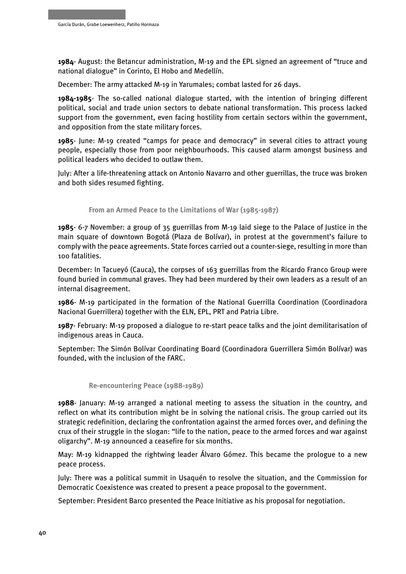**1984**- August: the Betancur administration, M-19 and the EPL signed an agreement of "truce and national dialogue" in Corinto, El Hobo and Medellín.

December: The army attacked M-19 in Yarumales; combat lasted for 26 days.

**1984-1985**- The so-called national dialogue started, with the intention of bringing different political, social and trade union sectors to debate national transformation. This process lacked support from the government, even facing hostility from certain sectors within the government, and opposition from the state military forces.

**1985**- June: M-19 created "camps for peace and democracy" in several cities to attract young people, especially those from poor neighbourhoods. This caused alarm amongst business and political leaders who decided to outlaw them.

July: After a life-threatening attack on Antonio Navarro and other guerrillas, the truce was broken and both sides resumed fighting.

 **From an Armed Peace to the Limitations of War (1985-1987)**

**1985**- 6-7 November: a group of 35 guerrillas from M-19 laid siege to the Palace of Justice in the main square of downtown Bogotá (Plaza de Bolívar), in protest at the government's failure to comply with the peace agreements. State forces carried out a counter-siege, resulting in more than 100 fatalities.

December: In Tacueyó (Cauca), the corpses of 163 guerrillas from the Ricardo Franco Group were found buried in communal graves. They had been murdered by their own leaders as a result of an internal disagreement.

**1986**- M-19 participated in the formation of the National Guerrilla Coordination (Coordinadora Nacional Guerrillera) together with the ELN, EPL, PRT and Patria Libre.

**1987**- February: M-19 proposed a dialogue to re-start peace talks and the joint demilitarisation of indigenous areas in Cauca.

September: The Simón Bolívar Coordinating Board (Coordinadora Guerrillera Simón Bolívar) was founded, with the inclusion of the FARC.

 **Re-encountering Peace (1988-1989)**

**1988**- January: M-19 arranged a national meeting to assess the situation in the country, and reflect on what its contribution might be in solving the national crisis. The group carried out its strategic redefinition, declaring the confrontation against the armed forces over, and defining the crux of their struggle in the slogan: "life to the nation, peace to the armed forces and war against oligarchy". M-19 announced a ceasefire for six months.

May: M-19 kidnapped the rightwing leader Álvaro Gómez. This became the prologue to a new peace process.

July: There was a political summit in Usaquén to resolve the situation, and the Commission for Democratic Coexistence was created to present a peace proposal to the government.

September: President Barco presented the Peace Initiative as his proposal for negotiation.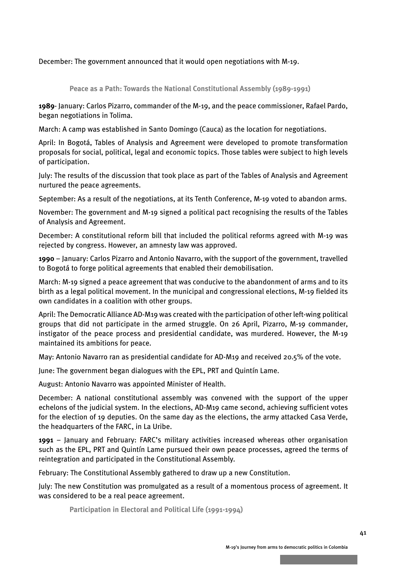December: The government announced that it would open negotiations with M-19.

 **Peace as a Path: Towards the National Constitutional Assembly (1989-1991)**

**1989**- January: Carlos Pizarro, commander of the M-19, and the peace commissioner, Rafael Pardo, began negotiations in Tolima.

March: A camp was established in Santo Domingo (Cauca) as the location for negotiations.

April: In Bogotá, Tables of Analysis and Agreement were developed to promote transformation proposals for social, political, legal and economic topics. Those tables were subject to high levels of participation.

July: The results of the discussion that took place as part of the Tables of Analysis and Agreement nurtured the peace agreements.

September: As a result of the negotiations, at its Tenth Conference, M-19 voted to abandon arms.

November: The government and M-19 signed a political pact recognising the results of the Tables of Analysis and Agreement.

December: A constitutional reform bill that included the political reforms agreed with M-19 was rejected by congress. However, an amnesty law was approved.

**1990** – January: Carlos Pizarro and Antonio Navarro, with the support of the government, travelled to Bogotá to forge political agreements that enabled their demobilisation.

March: M-19 signed a peace agreement that was conducive to the abandonment of arms and to its birth as a legal political movement. In the municipal and congressional elections, M-19 fielded its own candidates in a coalition with other groups.

April: The Democratic Alliance AD-M19 was created with the participation of other left-wing political groups that did not participate in the armed struggle. On 26 April, Pizarro, M-19 commander, instigator of the peace process and presidential candidate, was murdered. However, the M-19 maintained its ambitions for peace.

May: Antonio Navarro ran as presidential candidate for AD-M19 and received 20.5% of the vote.

June: The government began dialogues with the EPL, PRT and Quintín Lame.

August: Antonio Navarro was appointed Minister of Health.

December: A national constitutional assembly was convened with the support of the upper echelons of the judicial system. In the elections, AD-M19 came second, achieving sufficient votes for the election of 19 deputies. On the same day as the elections, the army attacked Casa Verde, the headquarters of the FARC, in La Uribe.

**1991** – January and February: FARC's military activities increased whereas other organisation such as the EPL, PRT and Quintín Lame pursued their own peace processes, agreed the terms of reintegration and participated in the Constitutional Assembly.

February: The Constitutional Assembly gathered to draw up a new Constitution.

July: The new Constitution was promulgated as a result of a momentous process of agreement. It was considered to be a real peace agreement.

 **Participation in Electoral and Political Life (1991-1994)**